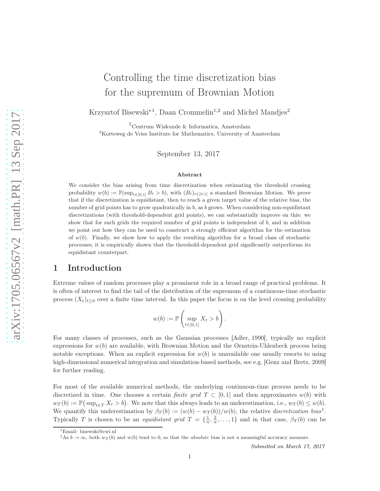# Controlling the time discretization bias for the supremum of Brownian Motion

Krzysztof Bisewski<sup>∗1</sup>, Daan Crommelin<sup>1,2</sup> and Michel Mandjes<sup>2</sup>

<sup>1</sup>Centrum Wiskunde & Informatica, Amsterdam <sup>2</sup>Korteweg de Vries Institute for Mathematics, University of Amsterdam

September 13, 2017

#### Abstract

We consider the bias arising from time discretization when estimating the threshold crossing probability  $w(b) := \mathbb{P}(\sup_{t \in [0,1]} B_t > b)$ , with  $(B_t)_{t \in [0,1]}$  a standard Brownian Motion. We prove that if the discretization is equidistant, then to reach a given target value of the relative bias, the number of grid points has to grow quadratically in  $b$ , as  $b$  grows. When considering non-equidistant discretizations (with threshold-dependent grid points), we can substantially improve on this: we show that for such grids the required number of grid points is independent of  $b$ , and in addition we point out how they can be used to construct a strongly efficient algorithm for the estimation of  $w(b)$ . Finally, we show how to apply the resulting algorithm for a broad class of stochastic processes; it is empirically shown that the threshold-dependent grid significantly outperforms its equidistant counterpart.

#### 1 Introduction

Extreme values of random processes play a prominent role in a broad range of practical problems. It is often of interest to find the tail of the distribution of the supremum of a continuous-time stochastic process  $(X_t)_{t\geq0}$  over a finite time interval. In this paper the focus is on the level crossing probability

$$
w(b) := \mathbb{P}\left(\sup_{t \in [0,1]} X_t > b\right).
$$

For many classes of processes, such as the Gaussian processes [\[Adler, 1990\]](#page-28-0), typically no explicit expressions for  $w(b)$  are available, with Brownian Motion and the Ornstein-Uhlenbeck process being notable exceptions. When an explicit expression for  $w(b)$  is unavailable one usually resorts to using high-dimensional numerical integration and simulation-based methods, see e.g. [\[Genz and Bretz, 2009\]](#page-29-0) for further reading.

For most of the available numerical methods, the underlying continuous-time process needs to be discretized in time. One chooses a certain *finite grid*  $T \subset [0,1]$  and then approximates  $w(b)$  with  $w_T(b) := \mathbb{P}(\sup_{t \in T} X_t > b)$ . We note that this always leads to an underestimation, i.e.,  $w_T(b) \leq w(b)$ . We quantify this underestimation by  $\beta_T(b) := (w(b) - w_T(b))/w(b)$ , the relative discretization bias<sup>[1](#page-0-0)</sup>. Typically T is chosen to be an *equidistant grid*  $T = \{\frac{1}{n}, \frac{2}{n}, \dots, 1\}$  and in that case,  $\beta_T(b)$  can be

<sup>∗</sup>Email: bisewski@cwi.nl

<span id="page-0-0"></span><sup>&</sup>lt;sup>1</sup>As  $b \to \infty$ , both  $w_T(b)$  and  $w(b)$  tend to 0, so that the *absolute* bias is not a meaningful accuracy measure.

Submitted on March 17, 2017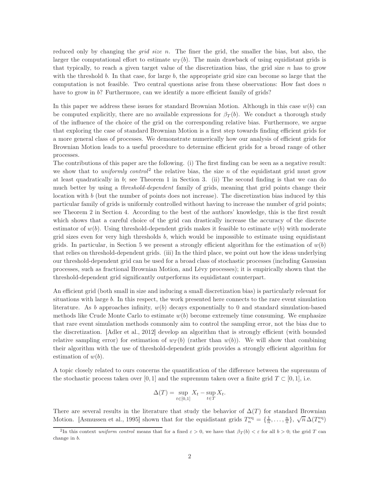reduced only by changing the *grid size n*. The finer the grid, the smaller the bias, but also, the larger the computational effort to estimate  $w_T(b)$ . The main drawback of using equidistant grids is that typically, to reach a given target value of the discretization bias, the grid size  $n$  has to grow with the threshold b. In that case, for large b, the appropriate grid size can become so large that the computation is not feasible. Two central questions arise from these observations: How fast does  $n$ have to grow in b? Furthermore, can we identify a more efficient family of grids?

In this paper we address these issues for standard Brownian Motion. Although in this case  $w(b)$  can be computed explicitly, there are no available expressions for  $\beta_T(b)$ . We conduct a thorough study of the influence of the choice of the grid on the corresponding relative bias. Furthermore, we argue that exploring the case of standard Brownian Motion is a first step towards finding efficient grids for a more general class of processes. We demonstrate numerically how our analysis of efficient grids for Brownian Motion leads to a useful procedure to determine efficient grids for a broad range of other processes.

The contributions of this paper are the following. (i) The first finding can be seen as a negative result: we show that to *uniformly control*<sup>[2](#page-1-0)</sup> the relative bias, the size n of the equidistant grid must grow at least quadratically in  $b$ ; see Theorem [1](#page-5-0) in Section [3.](#page-5-1) (ii) The second finding is that we can do much better by using a *threshold-dependent* family of grids, meaning that grid points change their location with b (but the number of points does not increase). The discretization bias induced by this particular family of grids is uniformly controlled without having to increase the number of grid points; see Theorem [2](#page-9-0) in Section [4.](#page-8-0) According to the best of the authors' knowledge, this is the first result which shows that a careful choice of the grid can drastically increase the accuracy of the discrete estimator of  $w(b)$ . Using threshold-dependent grids makes it feasible to estimate  $w(b)$  with moderate grid sizes even for very high thresholds  $b$ , which would be impossible to estimate using equidistant grids. In particular, in Section [5](#page-13-0) we present a strongly efficient algorithm for the estimation of  $w(b)$ that relies on threshold-dependent grids. (iii) In the third place, we point out how the ideas underlying our threshold-dependent grid can be used for a broad class of stochastic processes (including Gaussian processes, such as fractional Brownian Motion, and Lévy processes); it is empirically shown that the threshold-dependent grid significantly outperforms its equidistant counterpart.

An efficient grid (both small in size and inducing a small discretization bias) is particularly relevant for situations with large b. In this respect, the work presented here connects to the rare event simulation literature. As b approaches infinity,  $w(b)$  decays exponentially to 0 and standard simulation-based methods like Crude Monte Carlo to estimate  $w(b)$  become extremely time consuming. We emphasize that rare event simulation methods commonly aim to control the sampling error, not the bias due to the discretization. [\[Adler et al., 2012\]](#page-28-1) develop an algorithm that is strongly efficient (with bounded relative sampling error) for estimation of  $w_T(b)$  (rather than  $w(b)$ ). We will show that combining their algorithm with the use of threshold-dependent grids provides a strongly efficient algorithm for estimation of  $w(b)$ .

A topic closely related to ours concerns the quantification of the difference between the supremum of the stochastic process taken over [0, 1] and the supremum taken over a finite grid  $T \subset [0, 1]$ , i.e.

$$
\Delta(T) = \sup_{t \in [0,1]} X_t - \sup_{t \in T} X_t.
$$

There are several results in the literature that study the behavior of  $\Delta(T)$  for standard Brownian Motion. [\[Asmussen et al., 1995\]](#page-28-2) shown that for the equidistant grids  $T_n^{\text{eq}} = \{\frac{1}{n}, \ldots, \frac{n}{n}\}, \sqrt{n} \Delta(T_n^{\text{eq}})$ 

<span id="page-1-0"></span><sup>&</sup>lt;sup>2</sup>In this context uniform control means that for a fixed  $\varepsilon > 0$ , we have that  $\beta_T(b) < \varepsilon$  for all  $b > 0$ ; the grid T can change in b.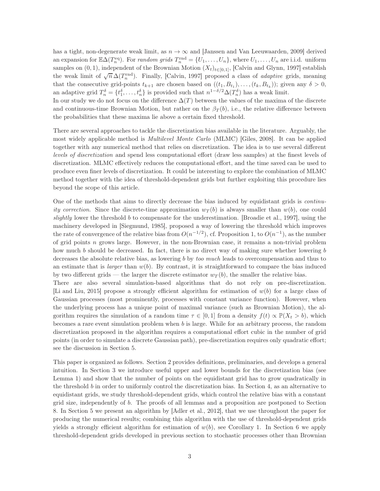has a tight, non-degenerate weak limit, as  $n \to \infty$  and [\[Janssen and Van Leeuwaarden, 2009\]](#page-29-1) derived an expansion for  $\mathbb{E}\Delta(T_n^{\text{eq}})$ . For *random grids*  $T_n^{\text{rnd}} = \{U_1, \ldots, U_n\}$ , where  $U_1, \ldots, U_n$  are i.i.d. uniform samples on  $(0, 1)$ , independent of the Brownian Motion  $(X_t)_{t\in[0,1]}$ , [\[Calvin and Glynn, 1997\]](#page-29-2) establish the weak limit of  $\sqrt{n} \Delta(T_n^{\text{rnd}})$ . Finally, [\[Calvin, 1997\]](#page-29-3) proposed a class of *adaptive* grids, meaning that the consecutive grid-points  $t_{k+1}$  are chosen based on  $((t_1, B_{t_1}), \ldots, (t_k, B_{t_k}))$ ; given any  $\delta > 0$ , an adaptive grid  $T_n^{\delta} = \{t_1^{\delta}, \ldots, t_n^{\delta}\}$  is provided such that  $n^{1-\delta/2}\Delta(T_n^{\delta})$  has a weak limit.

In our study we do not focus on the difference  $\Delta(T)$  between the values of the maxima of the discrete and continuous-time Brownian Motion, but rather on the  $\beta_T(b)$ , i.e., the relative difference between the probabilities that these maxima lie above a certain fixed threshold.

There are several approaches to tackle the discretization bias available in the literature. Arguably, the most widely applicable method is Multilevel Monte Carlo (MLMC) [\[Giles, 2008\]](#page-29-4). It can be applied together with any numerical method that relies on discretization. The idea is to use several different levels of discretization and spend less computational effort (draw less samples) at the finest levels of discretization. MLMC effectively reduces the computational effort, and the time saved can be used to produce even finer levels of discretization. It could be interesting to explore the combination of MLMC method together with the idea of threshold-dependent grids but further exploiting this procedure lies beyond the scope of this article.

One of the methods that aims to directly decrease the bias induced by equidistant grids is continuity correction. Since the discrete-time approximation  $w_T(b)$  is always smaller than  $w(b)$ , one could slightly lower the threshold b to compensate for the underestimation. [\[Broadie et al., 1997\]](#page-28-3), using the machinery developed in [\[Siegmund, 1985\]](#page-29-5), proposed a way of lowering the threshold which improves the rate of convergence of the relative bias from  $O(n^{-1/2})$ , cf. Proposition [1,](#page-4-0) to  $O(n^{-1})$ , as the number of grid points  $n$  grows large. However, in the non-Brownian case, it remains a non-trivial problem how much b should be decreased. In fact, there is no direct way of making sure whether lowering b decreases the absolute relative bias, as lowering b by too much leads to overcompensation and thus to an estimate that is *larger* than  $w(b)$ . By contrast, it is straightforward to compare the bias induced by two different grids — the larger the discrete estimator  $w_T(b)$ , the smaller the relative bias.

There are also several simulation-based algorithms that do not rely on pre-discretization. [\[Li and Liu, 2015\]](#page-29-6) propose a strongly efficient algorithm for estimation of  $w(b)$  for a large class of Gaussian processes (most prominently, processes with constant variance function). However, when the underlying process has a unique point of maximal variance (such as Brownian Motion), the algorithm requires the simulation of a random time  $\tau \in [0,1]$  from a density  $f(t) \propto \mathbb{P}(X_t > b)$ , which becomes a rare event simulation problem when b is large. While for an arbitrary process, the random discretization proposed in the algorithm requires a computational effort cubic in the number of grid points (in order to simulate a discrete Gaussian path), pre-discretization requires only quadratic effort; see the discussion in Section [5.](#page-13-0)

This paper is organized as follows. Section [2](#page-3-0) provides definitions, preliminaries, and develops a general intuition. In Section [3](#page-5-1) we introduce useful upper and lower bounds for the discretization bias (see Lemma [1\)](#page-6-0) and show that the number of points on the equidistant grid has to grow quadratically in the threshold  $b$  in order to uniformly control the discretization bias. In Section [4,](#page-8-0) as an alternative to equidistant grids, we study threshold-dependent grids, which control the relative bias with a constant grid size, independently of b. The proofs of all lemmas and a proposition are postponed to Section [8.](#page-20-0) In Section [5](#page-13-0) we present an algorithm by [\[Adler et al., 2012\]](#page-28-1), that we use throughout the paper for producing the numerical results; combining this algorithm with the use of threshold-dependent grids yields a strongly efficient algorithm for estimation of  $w(b)$ , see Corollary [1.](#page-14-0) In Section [6](#page-15-0) we apply threshold-dependent grids developed in previous section to stochastic processes other than Brownian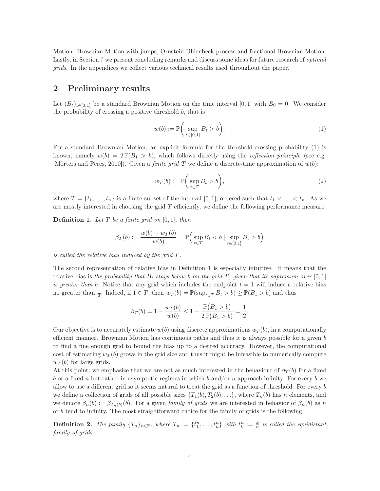Motion: Brownian Motion with jumps, Ornstein-Uhlenbeck process and fractional Brownian Motion. Lastly, in Section [7](#page-18-0) we present concluding remarks and discuss some ideas for future research of optimal grids. In the appendices we collect various technical results used throughout the paper.

#### <span id="page-3-0"></span>2 Preliminary results

Let  $(B_t)_{t\in[0,1]}$  be a standard Brownian Motion on the time interval [0, 1] with  $B_0 = 0$ . We consider the probability of crossing a positive threshold  $b$ , that is

<span id="page-3-1"></span>
$$
w(b) := \mathbb{P}\bigg(\sup_{t \in [0,1]} B_t > b\bigg). \tag{1}
$$

For a standard Brownian Motion, an explicit formula for the threshold-crossing probability [\(1\)](#page-3-1) is known, namely  $w(b) = 2 \mathbb{P}(B_1 > b)$ , which follows directly using the *reflection principle* (see e.g. [\[Mörters and Peres, 2010\]](#page-29-7)). Given a *finite grid* T we define a discrete-time approximation of  $w(b)$ :

$$
w_T(b) := \mathbb{P}\bigg(\sup_{t \in T} B_t > b\bigg),\tag{2}
$$

where  $T = \{t_1, \ldots, t_n\}$  is a finite subset of the interval [0, 1], ordered such that  $t_1 < \ldots < t_n$ . As we are mostly interested in choosing the grid  $T$  efficiently, we define the following performance measure.

<span id="page-3-2"></span>**Definition 1.** Let  $T$  be a finite grid on  $[0, 1]$ , then

$$
\beta_T(b) := \frac{w(b) - w_T(b)}{w(b)} = \mathbb{P}\Big(\sup_{t \in T} B_t < b \; \big| \sup_{t \in [0,1]} B_t > b\Big)
$$

is called the relative bias induced by the grid  $T$ .

The second representation of relative bias in Definition [1](#page-3-2) is especially intuitive. It means that the relative bias is the probability that  $B_t$  stays below b on the grid T, given that its supremum over [0, 1] is greater than b. Notice that any grid which includes the endpoint  $t = 1$  will induce a relative bias no greater than  $\frac{1}{2}$ . Indeed, if  $1 \in T$ , then  $w_T(b) = \mathbb{P}(\sup_{t \in T} B_t > b) \geq \mathbb{P}(B_1 > b)$  and thus

$$
\beta_T(b) = 1 - \frac{w_T(b)}{w(b)} \le 1 - \frac{\mathbb{P}(B_1 > b)}{2\mathbb{P}(B_1 > b)} = \frac{1}{2}.
$$

Our objective is to accurately estimate  $w(b)$  using discrete approximations  $w_T(b)$ , in a computationally efficient manner. Brownian Motion has continuous paths and thus it is always possible for a given  $b$ to find a fine enough grid to bound the bias up to a desired accuracy. However, the computational cost of estimating  $w_T(b)$  grows in the grid size and thus it might be infeasible to numerically compute  $w_T(b)$  for large grids.

At this point, we emphasize that we are not as much interested in the behaviour of  $\beta_T(b)$  for a fixed b or a fixed n but rather in asymptotic regimes in which b and/or n approach infinity. For every b we allow to use a different grid so it seems natural to treat the grid as a function of threshold. For every b we define a collection of grids of all possible sizes  $\{T_1(b), T_2(b), \ldots\}$ , where  $T_n(b)$  has n elements, and we denote  $\beta_n(b) := \beta_{T_n(b)}(b)$ . For a given family of grids we are interested in behavior of  $\beta_n(b)$  as n or b tend to infinity. The most straightforward choice for the family of grids is the following.

<span id="page-3-3"></span>**Definition 2.** The family  $\{T_n\}_{n\in\mathbb{N}}$ , where  $T_n := \{t_1^n, \ldots, t_n^n\}$  with  $t_k^n := \frac{k}{n}$  is called the equidistant family of grids.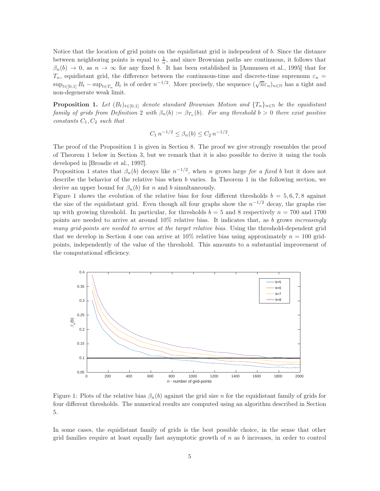Notice that the location of grid points on the equidistant grid is independent of b. Since the distance between neighboring points is equal to  $\frac{1}{n}$ , and since Brownian paths are continuous, it follows that  $\beta_n(b) \to 0$ , as  $n \to \infty$  for any fixed b. It has been established in [\[Asmussen et al., 1995\]](#page-28-2) that for  $T_n$ , equidistant grid, the difference between the continuous-time and discrete-time supremum  $\varepsilon_n$  =  $\sup_{t\in[0,1]}B_t - \sup_{t\in T_n} B_t$  is of order  $n^{-1/2}$ . More precisely, the sequence  $(\sqrt{n}\varepsilon_n)_{n\in\mathbb{N}}$  has a tight and non-degenerate weak limit.

<span id="page-4-0"></span>**Proposition 1.** Let  $(B_t)_{t\in[0,1]}$  denote standard Brownian Motion and  $\{T_n\}_{n\in\mathbb{N}}$  be the equidistant family of grids from Definition [2](#page-3-3) with  $\beta_n(b) := \beta_{T_n}(b)$ . For any threshold  $b > 0$  there exist positive constants  $C_1, C_2$  such that

$$
C_1 n^{-1/2} \le \beta_n(b) \le C_2 n^{-1/2}.
$$

The proof of the Proposition [1](#page-4-0) is given in Section [8.](#page-20-0) The proof we give strongly resembles the proof of Theorem [1](#page-5-0) below in Section [3,](#page-5-1) but we remark that it is also possible to derive it using the tools developed in [\[Broadie et al., 1997\]](#page-28-3).

Proposition [1](#page-4-0) states that  $\beta_n(b)$  decays like  $n^{-1/2}$ , when n grows large for a fixed b but it does not describe the behavior of the relative bias when b varies. In Theorem [1](#page-5-0) in the following section, we derive an upper bound for  $\beta_n(b)$  for n and b simultaneously.

Figure [1](#page-4-1) shows the evolution of the relative bias for four different thresholds  $b = 5, 6, 7, 8$  against the size of the equidistant grid. Even though all four graphs show the  $n^{-1/2}$  decay, the graphs rise up with growing threshold. In particular, for thresholds  $b = 5$  and 8 respectively  $n = 700$  and 1700 points are needed to arrive at around  $10\%$  relative bias. It indicates that, as b grows increasingly many grid-points are needed to arrive at the target relative bias. Using the threshold-dependent grid that we develop in Section [4](#page-8-0) one can arrive at  $10\%$  relative bias using approximately  $n = 100$  gridpoints, independently of the value of the threshold. This amounts to a substantial improvement of the computational efficiency.

<span id="page-4-1"></span>

Figure 1: Plots of the relative bias  $\beta_n(b)$  against the grid size n for the equidistant family of grids for four different thresholds. The numerical results are computed using an algorithm described in Section [5.](#page-13-0)

In some cases, the equidistant family of grids is the best possible choice, in the sense that other grid families require at least equally fast asymptotic growth of n as b increases, in order to control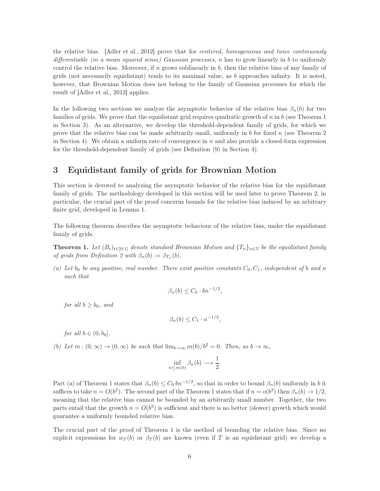the relative bias. [\[Adler et al., 2012\]](#page-28-1) prove that for centered, homogeneous and twice continuously differentiable (in a mean squared sense) Gaussian processes, n has to grow linearly in b to uniformly control the relative bias. Moreover, if n grows sublinearly in  $b$ , then the relative bias of any family of grids (not necessarily equidistant) tends to its maximal value, as  $b$  approaches infinity. It is noted, however, that Brownian Motion does not belong to the family of Gaussian processes for which the result of [\[Adler et al., 2012\]](#page-28-1) applies.

In the following two sections we analyze the asymptotic behavior of the relative bias  $\beta_n(b)$  for two families of grids. We prove that the equidistant grid requires quadratic growth of  $n$  in  $b$  (see Theorem [1](#page-5-0)) in Section [3\)](#page-5-1). As an alternative, we develop the threshold-dependent family of grids, for which we prove that the relative bias can be made arbitrarily small, uniformly in b for fixed n (see Theorem [2](#page-9-0) in Section [4\)](#page-8-0). We obtain a uniform rate of convergence in  $n$  and also provide a closed-form expression for the threshold-dependent family of grids (see Definition [\(9\)](#page-9-1) in Section [4\)](#page-8-0).

## <span id="page-5-1"></span>3 Equidistant family of grids for Brownian Motion

This section is devoted to analyzing the asymptotic behavior of the relative bias for the equidistant family of grids. The methodology developed in this section will be used later to prove Theorem [2;](#page-9-0) in particular, the crucial part of the proof concerns bounds for the relative bias induced by an arbitrary finite grid, developed in Lemma [1.](#page-6-0)

The following theorem describes the asymptotic behaviour of the relative bias, under the equidistant family of grids.

<span id="page-5-0"></span>**Theorem 1.** Let  $(B_t)_{t\in[0,1]}$  denote standard Brownian Motion and  $\{T_n\}_{n\in\mathbb{N}}$  be the equidistant family of grids from Definition [2](#page-3-3) with  $\beta_n(b) := \beta_{T_n}(b)$ .

(a) Let  $b_0$  be any positive, real number. There exist positive constants  $C_0, C_1$ , independent of b and n such that

$$
\beta_n(b) \le C_0 \cdot bn^{-1/2},
$$

for all  $b > b_0$ , and

$$
\beta_n(b) \le C_1 \cdot n^{-1/2},
$$

for all  $b \in (0, b_0]$ .

(b) Let  $m:(0,\infty)\to(0,\infty)$  be such that  $\lim_{b\to\infty}m(b)/b^2=0$ . Then, as  $b\to\infty$ ,

$$
\inf_{n\leq m(b)} \beta_n(b) \longrightarrow \frac{1}{2}.
$$

Part (a) of Theorem [1](#page-5-0) states that  $\beta_n(b) \leq C_0 b n^{-1/2}$ , so that in order to bound  $\beta_n(b)$  uniformly in b it suffices to take  $n = O(b^2)$ . The second part of the Theorem [1](#page-5-0) states that if  $n = o(b^2)$  then  $\beta_n(b) \to 1/2$ , meaning that the relative bias cannot be bounded by an arbitrarily small number. Together, the two parts entail that the growth  $n = O(b^2)$  is sufficient and there is no better (slower) growth which would guarantee a uniformly bounded relative bias.

The crucial part of the proof of Theorem [1](#page-5-0) is the method of bounding the relative bias. Since no explicit expressions for  $w_T(b)$  or  $\beta_T(b)$  are known (even if T is an equidistant grid) we develop a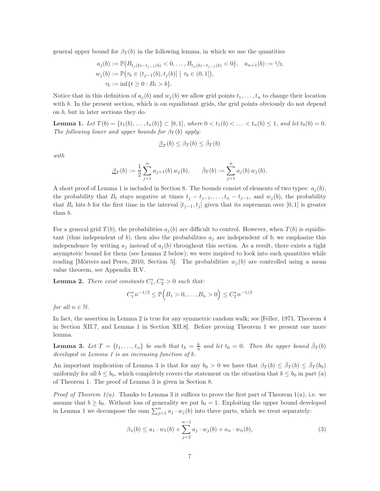general upper bound for  $\beta_T(b)$  in the following lemma, in which we use the quantities

$$
a_j(b) := \mathbb{P}(B_{t_j(b)-t_{j-1}(b)} < 0, \dots, B_{t_n(b)-t_{j-1}(b)} < 0), \quad a_{n+1}(b) := 1/2,
$$
  
\n
$$
w_j(b) := \mathbb{P}(\tau_b \in (t_{j-1}(b), t_j(b)) \mid \tau_b \in (0, 1]),
$$
  
\n
$$
\tau_b := \inf\{t \ge 0 : B_t > b\}.
$$

Notice that in this definition of  $a_i(b)$  and  $w_i(b)$  we allow grid points  $t_1, \ldots, t_n$  to change their location with b. In the present section, which is on equidistant grids, the grid points obviously do not depend on b, but in later sections they do.

<span id="page-6-0"></span>**Lemma 1.** Let  $T(b) = \{t_1(b), \ldots, t_n(b)\} \subset [0, 1]$ , where  $0 < t_1(b) < \ldots < t_n(b) \leq 1$ , and let  $t_0(b) = 0$ . The following lower and upper bounds for  $\beta_T(b)$  apply:

$$
\underline{\beta}_T(b) \le \beta_T(b) \le \overline{\beta}_T(b)
$$

with

$$
\underline{\beta}_T(b) := \frac{1}{2} \sum_{j=1}^n a_{j+1}(b) w_j(b), \qquad \bar{\beta}_T(b) := \sum_{j=1}^n a_j(b) w_j(b).
$$

A short proof of Lemma [1](#page-6-0) is included in Section [8.](#page-20-0) The bounds consist of elements of two types:  $a_i(b)$ , the probability that  $B_t$  stays negative at times  $t_j - t_{j-1}, \ldots, t_n - t_{j-1}$ , and  $w_j(b)$ , the probability that  $B_t$  hits b for the first time in the interval  $[t_{j-1}, t_j]$  given that its supremum over [0, 1] is greater than b.

For a general grid  $T(b)$ , the probabilities  $a_i(b)$  are difficult to control. However, when  $T(b)$  is equidistant (thus independent of b), then also the probabilities  $a_j$  are independent of b; we emphasize this independence by writing  $a_j$  instead of  $a_j(b)$  throughout this section. As a result, there exists a tight asymptotic bound for them (see Lemma [2](#page-6-1) below); we were inspired to look into such quantities while reading [\[Mörters and Peres, 2010,](#page-29-7) Section 5]. The probabilities  $w_i(b)$  are controlled using a mean value theorem, see Appendix [B.](#page-25-0)[V.](#page-25-1)

<span id="page-6-1"></span>**Lemma 2.** There exist constants  $C_1^*, C_2^* > 0$  such that:

$$
C_1^* n^{-1/2} \le \mathbb{P}\Big(B_1 > 0, \dots, B_n > 0\Big) \le C_2^* n^{-1/2}
$$

for all  $n \in \mathbb{N}$ .

In fact, the assertion in Lemma [2](#page-6-1) is true for any symmetric random walk; see [\[Feller, 1971,](#page-29-8) Theorem 4 in Section XII.7, and Lemma 1 in Section XII.8]. Before proving Theorem [1](#page-5-0) we present one more lemma.

<span id="page-6-2"></span>**Lemma 3.** Let  $T = \{t_1, \ldots, t_n\}$  be such that  $t_k = \frac{k}{n}$  and let  $t_0 = 0$ . Then the upper bound  $\bar{\beta}_T(b)$ developed in Lemma [1](#page-6-0) is an increasing function of b.

An important implication of Lemma [3](#page-6-2) is that for any  $b_0 > 0$  we have that  $\beta_T(b) \leq \bar{\beta}_T(b) \leq \bar{\beta}_T(b_0)$ uniformly for all  $b \leq b_0$ , which completely covers the statement on the situation that  $b \leq b_0$  in part (a) of Theorem [1.](#page-5-0) The proof of Lemma [3](#page-6-2) is given in Section [8.](#page-20-0)

*Proof of Theorem [1\(](#page-5-0)a).* Thanks to Lemma [3](#page-6-2) it suffices to prove the first part of Theorem 1(a), i.e. we assume that  $b \ge b_0$ . Without loss of generality we put  $b_0 = 1$ . Exploiting the upper bound developed in Lemma [1](#page-6-0) we decompose the sum  $\sum_{j=1}^{n} a_j \cdot w_j(b)$  into three parts, which we treat separately:

<span id="page-6-3"></span>
$$
\beta_n(b) \le a_1 \cdot w_1(b) + \sum_{j=2}^{n-1} a_j \cdot w_j(b) + a_n \cdot w_n(b),\tag{3}
$$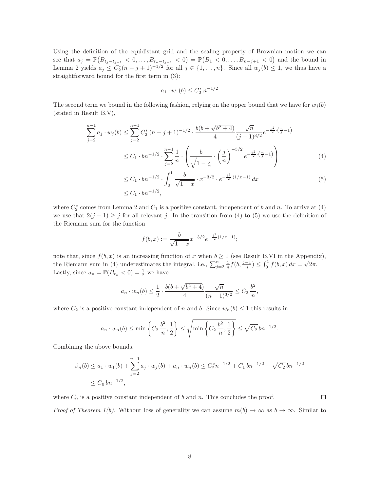Using the definition of the equidistant grid and the scaling property of Brownian motion we can see that  $a_j = \mathbb{P}(B_{t_j-t_{j-1}} < 0, \ldots, B_{t_n-t_{j-1}} < 0) = \mathbb{P}(B_1 < 0, \ldots, B_{n-j+1} < 0)$  and the bound in Lemma [2](#page-6-1) yields  $a_j \leq C_2^*(n-j+1)^{-1/2}$  for all  $j \in \{1,\ldots,n\}$ . Since all  $w_j(b) \leq 1$ , we thus have a straightforward bound for the first term in [\(3\)](#page-6-3):

<span id="page-7-1"></span><span id="page-7-0"></span>
$$
a_1 \cdot w_1(b) \le C_2^* n^{-1/2}
$$

The second term we bound in the following fashion, relying on the upper bound that we have for  $w_i(b)$ (stated in Result B.V),

$$
\sum_{j=2}^{n-1} a_j \cdot w_j(b) \le \sum_{j=2}^{n-1} C_2^* (n-j+1)^{-1/2} \cdot \frac{b(b+\sqrt{b^2+4})}{4} \frac{\sqrt{n}}{(j-1)^{3/2}} e^{-\frac{b^2}{2} \cdot (\frac{n}{j}-1)}
$$
  
 
$$
\le C_1 \cdot b n^{-1/2} \cdot \sum_{j=2}^{n-1} \frac{1}{n} \cdot \left( \frac{b}{\sqrt{1-\frac{j}{n}}} \cdot \left(\frac{j}{n}\right)^{-3/2} e^{-\frac{b^2}{2} \cdot (\frac{n}{j}-1)} \right)
$$
(4)

$$
\leq C_1 \cdot b n^{-1/2} \cdot \int_0^1 \frac{b}{\sqrt{1-x}} \cdot x^{-3/2} \cdot e^{-\frac{b^2}{2}(1/x-1)} dx
$$
\n
$$
\leq C_1 \cdot b n^{-1/2},
$$
\n(5)

where  $C_2^*$  comes from Lemma [2](#page-6-1) and  $C_1$  is a positive constant, independent of b and n. To arrive at [\(4\)](#page-7-0) we use that  $2(j-1) \geq j$  for all relevant j. In the transition from [\(4\)](#page-7-0) to [\(5\)](#page-7-1) we use the definition of the Riemann sum for the function

$$
f(b,x) := \frac{b}{\sqrt{1-x}} x^{-3/2} e^{-\frac{b^2}{2}(1/x-1)};
$$

note that, since  $f(b, x)$  is an increasing function of x when  $b \ge 1$  (see Result [B](#page-25-0)[.VI](#page-25-2) in the Appendix), the Riemann sum in [\(4\)](#page-7-0) underestimates the integral, i.e.,  $\sum_{j=2}^{n} \frac{1}{n} f(b, \frac{j-1}{n}) \leq \int_0^1 f(b, x) dx = \sqrt{2\pi}$ . Lastly, since  $a_n = \mathbb{P}(B_{t_n} < 0) = \frac{1}{2}$  we have

$$
a_n \cdot w_n(b) \le \frac{1}{2} \cdot \frac{b(b+\sqrt{b^2+4})}{4} \cdot \frac{\sqrt{n}}{(n-1)^{3/2}} \le C_2 \frac{b^2}{n},
$$

where  $C_2$  is a positive constant independent of n and b. Since  $w_n(b) \leq 1$  this results in

$$
a_n \cdot w_n(b) \le \min\left\{C_2 \frac{b^2}{n}, \frac{1}{2}\right\} \le \sqrt{\min\left\{C_2 \frac{b^2}{n}, \frac{1}{2}\right\}} \le \sqrt{C_2} \, bn^{-1/2}.
$$

Combining the above bounds,

$$
\beta_n(b) \le a_1 \cdot w_1(b) + \sum_{j=2}^{n-1} a_j \cdot w_j(b) + a_n \cdot w_n(b) \le C_2^* n^{-1/2} + C_1 b n^{-1/2} + \sqrt{C_2} b n^{-1/2}
$$
  

$$
\le C_0 b n^{-1/2},
$$

where  $C_0$  is a positive constant independent of b and n. This concludes the proof. □ *Proof of Theorem [1\(](#page-5-0)b).* Without loss of generality we can assume  $m(b) \to \infty$  as  $b \to \infty$ . Similar to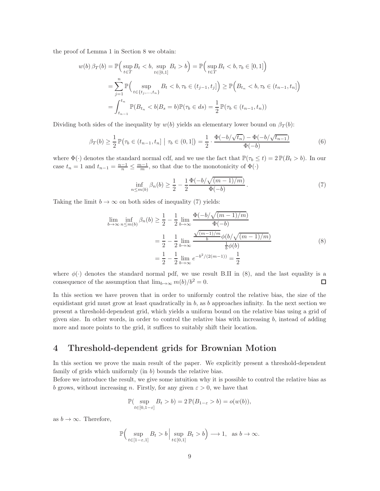the proof of Lemma [1](#page-6-0) in Section [8](#page-20-0) we obtain:

$$
w(b) \beta_T(b) = \mathbb{P}\Big(\sup_{t \in T} B_t < b, \sup_{t \in [0,1]} B_t > b\Big) = \mathbb{P}\Big(\sup_{t \in T} B_t < b, \tau_b \in [0,1]\Big)
$$
\n
$$
= \sum_{j=1}^n \mathbb{P}\Big(\sup_{t \in \{t_j, \ldots, t_n\}} B_t < b, \tau_b \in (t_{j-1}, t_j]\Big) \ge \mathbb{P}\Big(B_{t_n} < b, \tau_b \in (t_{n-1}, t_n]\Big)
$$
\n
$$
= \int_{t_{n-1}}^{t_n} \mathbb{P}(B_{t_n} < b | B_s = b) \mathbb{P}(\tau_b \in ds) = \frac{1}{2} \mathbb{P}(\tau_b \in (t_{n-1}, t_n))
$$

Dividing both sides of the inequality by  $w(b)$  yields an elementary lower bound on  $\beta_T(b)$ :

$$
\beta_T(b) \ge \frac{1}{2} \mathbb{P}(\tau_b \in (t_{n-1}, t_n] \mid \tau_b \in (0, 1]) = \frac{1}{2} \cdot \frac{\Phi(-b/\sqrt{t_n}) - \Phi(-b/\sqrt{t_{n-1}})}{\Phi(-b)}
$$
(6)

where  $\Phi(\cdot)$  denotes the standard normal cdf, and we use the fact that  $\mathbb{P}(\tau_b \leq t) = 2 \mathbb{P}(B_t > b)$ . In our case  $t_n = 1$  and  $t_{n-1} = \frac{n-1}{n} \le \frac{m-1}{m}$ , so that due to the monotonicity of  $\Phi(\cdot)$ 

<span id="page-8-2"></span><span id="page-8-1"></span>
$$
\inf_{n \le m(b)} \beta_n(b) \ge \frac{1}{2} - \frac{1}{2} \frac{\Phi(-b/\sqrt{(m-1)/m})}{\Phi(-b)}.
$$
\n(7)

Taking the limit  $b \to \infty$  on both sides of inequality [\(7\)](#page-8-1) yields:

$$
\lim_{b \to \infty} \inf_{n \le m(b)} \beta_n(b) \ge \frac{1}{2} - \frac{1}{2} \lim_{b \to \infty} \frac{\Phi(-b/\sqrt{(m-1)/m})}{\Phi(-b)} \n= \frac{1}{2} - \frac{1}{2} \lim_{b \to \infty} \frac{\sqrt{(m-1)/m}}{b} \phi(b/\sqrt{(m-1)/m}) \n= \frac{1}{2} - \frac{1}{2} \lim_{b \to \infty} e^{-b^2/(2(m-1))} = \frac{1}{2}
$$
\n(8)

where  $\phi(\cdot)$  denotes the standard normal pdf, we use result [B.](#page-25-0)[II](#page-25-3) in [\(8\)](#page-8-2), and the last equality is a consequence of the assumption that  $\lim_{b\to\infty} m(b)/b^2 = 0$ . consequence of the assumption that  $\lim_{b\to\infty} m(b)/b^2 = 0$ .

In this section we have proven that in order to uniformly control the relative bias, the size of the equidistant grid must grow at least quadratically in  $b$ , as  $b$  approaches infinity. In the next section we present a threshold-dependent grid, which yields a uniform bound on the relative bias using a grid of given size. In other words, in order to control the relative bias with increasing  $b$ , instead of adding more and more points to the grid, it suffices to suitably shift their location.

## <span id="page-8-0"></span>4 Threshold-dependent grids for Brownian Motion

In this section we prove the main result of the paper. We explicitly present a threshold-dependent family of grids which uniformly (in b) bounds the relative bias.

Before we introduce the result, we give some intuition why it is possible to control the relative bias as b grows, without increasing n. Firstly, for any given  $\varepsilon > 0$ , we have that

$$
\mathbb{P}(\sup_{t\in[0,1-\varepsilon]} B_t > b) = 2 \mathbb{P}(B_{1-\varepsilon} > b) = o(w(b)),
$$

as  $b \to \infty$ . Therefore,

$$
\mathbb{P}\Big(\sup_{t\in[1-\varepsilon,1]}B_t > b \Big| \sup_{t\in[0,1]}B_t > b\Big) \longrightarrow 1, \text{ as } b \to \infty.
$$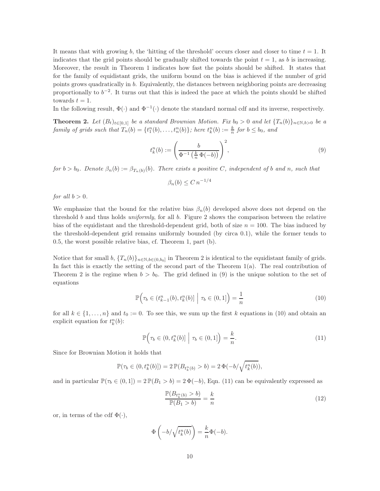It means that with growing b, the 'hitting of the threshold' occurs closer and closer to time  $t = 1$ . It indicates that the grid points should be gradually shifted towards the point  $t = 1$ , as b is increasing. Moreover, the result in Theorem [1](#page-5-0) indicates how fast the points should be shifted. It states that for the family of equidistant grids, the uniform bound on the bias is achieved if the number of grid points grows quadratically in b. Equivalently, the distances between neighboring points are decreasing proportionally to  $b^{-2}$ . It turns out that this is indeed the pace at which the points should be shifted towards  $t = 1$ .

In the following result,  $\Phi(\cdot)$  and  $\Phi^{-1}(\cdot)$  denote the standard normal cdf and its inverse, respectively.

<span id="page-9-0"></span>**Theorem 2.** Let  $(B_t)_{t\in[0,1]}$  be a standard Brownian Motion. Fix  $b_0 > 0$  and let  $\{T_n(b)\}_{n\in\mathbb{N},b>0}$  be a family of grids such that  $T_n(b) = \{t_1^n(b), \ldots, t_n^n(b)\}$ ; here  $t_k^n(b) := \frac{k}{n}$  for  $b \le b_0$ , and

$$
t_k^n(b) := \left(\frac{b}{\Phi^{-1}\left(\frac{k}{n}\Phi(-b)\right)}\right)^2,\tag{9}
$$

for  $b > b_0$ . Denote  $\beta_n(b) := \beta_{T_n(b)}(b)$ . There exists a positive C, independent of b and n, such that

<span id="page-9-1"></span>
$$
\beta_n(b) \le C n^{-1/4}
$$

for all  $b > 0$ .

We emphasize that the bound for the relative bias  $\beta_n(b)$  developed above does not depend on the threshold b and thus holds uniformly, for all b. Figure [2](#page-10-0) shows the comparison between the relative bias of the equidistant and the threshold-dependent grid, both of size  $n = 100$ . The bias induced by the threshold-dependent grid remains uniformly bounded (by circa 0.1), while the former tends to 0.5, the worst possible relative bias, cf. Theorem [1,](#page-5-0) part (b).

Notice that for small  $b, \{T_n(b)\}_{n \in \mathbb{N}, b \in (0,b_0]}$  in Theorem [2](#page-9-0) is identical to the equidistant family of grids. In fact this is exactly the setting of the second part of the Theorem  $1(a)$ . The real contribution of Theorem [2](#page-9-0) is the regime when  $b > b_0$ . The grid defined in [\(9\)](#page-9-1) is the unique solution to the set of equations

$$
\mathbb{P}\Big(\tau_b \in (t_{k-1}^n(b), t_k^n(b)] \Big| \tau_b \in (0, 1] \Big) = \frac{1}{n} \tag{10}
$$

for all  $k \in \{1, \ldots, n\}$  and  $t_0 := 0$ . To see this, we sum up the first k equations in [\(10\)](#page-9-2) and obtain an explicit equation for  $t_k^n(b)$ :

<span id="page-9-2"></span>
$$
\mathbb{P}\Big(\tau_b \in (0, t_k^n(b)] \; \Big| \; \tau_b \in (0, 1] \Big) = \frac{k}{n}.\tag{11}
$$

Since for Brownian Motion it holds that

$$
\mathbb{P}(\tau_b \in (0, t_k^n(b)]) = 2 \, \mathbb{P}(B_{t_k^n(b)} > b) = 2 \, \Phi(-b/\sqrt{t_k^n(b)}),
$$

and in particular  $\mathbb{P}(\tau_b \in (0,1]) = 2 \mathbb{P}(B_1 > b) = 2 \Phi(-b)$ , Eqn. [\(11\)](#page-9-3) can be equivalently expressed as

<span id="page-9-4"></span><span id="page-9-3"></span>
$$
\frac{\mathbb{P}(B_{t_k^n(b)} > b)}{\mathbb{P}(B_1 > b)} = \frac{k}{n}
$$
\n(12)

or, in terms of the cdf  $\Phi(\cdot)$ ,

$$
\Phi\left(-b/\sqrt{t_k^n(b)}\right) = \frac{k}{n}\Phi(-b).
$$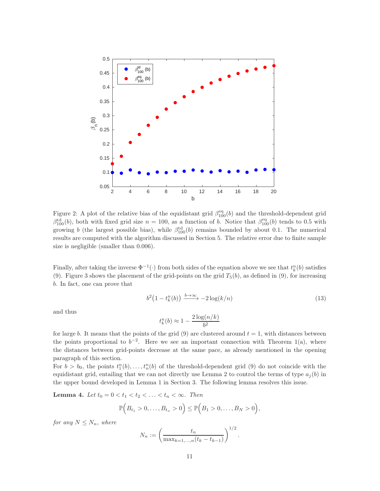<span id="page-10-0"></span>

Figure 2: A plot of the relative bias of the equidistant grid  $\beta_{100}^{\text{eq}}(b)$  and the threshold-dependent grid  $\beta_{100}^{td}(b)$ , both with fixed grid size  $n = 100$ , as a function of b. Notice that  $\beta_{100}^{eq}(b)$  tends to 0.5 with growing b (the largest possible bias), while  $\beta_{100}^{td}(b)$  remains bounded by about 0.1. The numerical results are computed with the algorithm discussed in Section [5.](#page-13-0) The relative error due to finite sample size is negligible (smaller than 0.006).

Finally, after taking the inverse  $\Phi^{-1}(\cdot)$  from both sides of the equation above we see that  $t_k^n(b)$  satisfies [\(9\)](#page-9-1). Figure [3](#page-11-0) shows the placement of the grid-points on the grid  $T_5(b)$ , as defined in [\(9\)](#page-9-1), for increasing b. In fact, one can prove that

$$
b^{2}(1-t_{k}^{n}(b)) \xrightarrow{b \to \infty} -2\log(k/n)
$$
\n(13)

and thus

$$
t_k^n(b) \approx 1 - \frac{2\log(n/k)}{b^2}
$$

for large b. It means that the points of the grid  $(9)$  are clustered around  $t = 1$ , with distances between the points proportional to  $b^{-2}$ . Here we see an important connection with Theorem [1\(](#page-5-0)a), where the distances between grid-points decrease at the same pace, as already mentioned in the opening paragraph of this section.

For  $b > b_0$ , the points  $t_1^n(b), \ldots, t_n^n(b)$  of the threshold-dependent grid [\(9\)](#page-9-1) do not coincide with the equidistant grid, entailing that we can not directly use Lemma [2](#page-6-1) to control the terms of type  $a_i(b)$  in the upper bound developed in Lemma [1](#page-6-0) in Section [3.](#page-5-1) The following lemma resolves this issue.

<span id="page-10-1"></span>**Lemma 4.** Let  $t_0 = 0 < t_1 < t_2 < \ldots < t_n < \infty$ . Then

$$
\mathbb{P}\Big(B_{t_1}>0,\ldots,B_{t_n}>0\Big)\leq \mathbb{P}\Big(B_1>0,\ldots,B_N>0\Big),
$$

for any  $N \leq N_n$ , where

$$
N_n := \left(\frac{t_n}{\max_{k=1,\dots,n}(t_k - t_{k-1})}\right)^{1/2}.
$$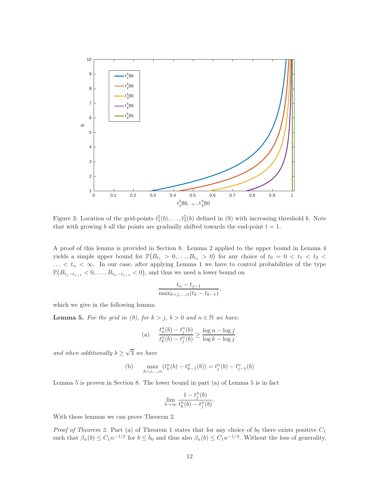<span id="page-11-0"></span>

Figure 3: Location of the grid-points  $t_1^5(b), \ldots, t_5^5(b)$  defined in [\(9\)](#page-9-1) with increasing threshold b. Note that with growing b all the points are gradually shifted towards the end-point  $t = 1$ .

A proof of this lemma is provided in Section [8.](#page-20-0) Lemma [2](#page-6-1) applied to the upper bound in Lemma [4](#page-10-1) yields a simple upper bound for  $\mathbb{P}(B_{t_1} > 0, \ldots, B_{t_n} > 0)$  for any choice of  $t_0 = 0 < t_1 < t_2 <$  $\ldots < t_n < \infty$ . In our case, after applying Lemma [1](#page-6-0) we have to control probabilities of the type  $\mathbb{P}(B_{t_j-t_{j-1}} < 0, \ldots, B_{t_n-t_{j-1}} < 0)$ , and thus we need a lower bound on

$$
\frac{t_n - t_{j-1}}{\max_{k=j,...,n}(t_k - t_{k-1})},
$$

which we give in the following lemma.

<span id="page-11-1"></span>**Lemma 5.** For the grid in [\(9\)](#page-9-1), for  $k > j$ ,  $b > 0$  and  $n \in \mathbb{N}$  we have:

(a) 
$$
\frac{t_n^n(b) - t_j^n(b)}{t_k^n(b) - t_j^n(b)} \ge \frac{\log n - \log j}{\log k - \log j}.
$$

and when additionally  $b \geq \sqrt{3}$  we have

(b) 
$$
\max_{k=j,...,n} (t_k^n(b) - t_{k-1}^n(b)) = t_j^n(b) - t_{j-1}^n(b)
$$

Lemma [5](#page-11-1) is proven in Section [8.](#page-20-0) The lower bound in part (a) of Lemma [5](#page-11-1) is in fact

$$
\lim_{b \to \infty} \frac{1 - t_j^n(b)}{t_k^n(b) - t_j^n(b)}.
$$

With these lemmas we can prove Theorem [2.](#page-9-0)

*Proof of Theorem [2.](#page-9-0)* Part (a) of Theorem [1](#page-5-0) states that for any choice of  $b_0$  there exists positive  $C_1$ such that  $\beta_n(b) \leq C_1 n^{-1/2}$  for  $b \leq b_0$  and thus also  $\beta_n(b) \leq C_1 n^{-1/4}$ . Without the loss of generality,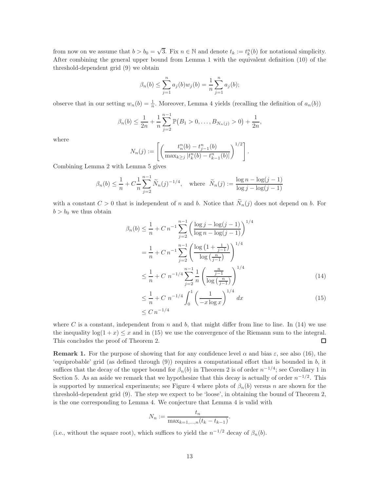from now on we assume that  $b > b_0 = \sqrt{3}$ . Fix  $n \in \mathbb{N}$  and denote  $t_k := t_k^n(b)$  for notational simplicity. After combining the general upper bound from Lemma [1](#page-6-0) with the equivalent definition [\(10\)](#page-9-2) of the threshold-dependent grid [\(9\)](#page-9-1) we obtain

$$
\beta_n(b) \le \sum_{j=1}^n a_j(b) w_j(b) = \frac{1}{n} \sum_{j=1}^n a_j(b);
$$

observe that in our setting  $w_n(b) = \frac{1}{n}$ . Moreover, Lemma [4](#page-10-1) yields (recalling the definition of  $a_n(b)$ )

$$
\beta_n(b) \leq \frac{1}{2n} + \frac{1}{n} \sum_{j=2}^{n-1} \mathbb{P}(B_1 > 0, \dots, B_{N_n(j)} > 0) + \frac{1}{2n},
$$

where

$$
N_n(j) := \left[ \left( \frac{t_n^n(b) - t_{j-1}^n(b)}{\max_{k \ge j} |t_k^n(b) - t_{k-1}^n(b)|} \right)^{1/2} \right].
$$

Combining Lemma [2](#page-6-1) with Lemma [5](#page-11-1) gives

$$
\beta_n(b) \le \frac{1}{n} + C \frac{1}{n} \sum_{j=2}^{n-1} \widetilde{N}_n(j)^{-1/4}, \text{ where } \widetilde{N}_n(j) := \frac{\log n - \log(j-1)}{\log j - \log(j-1)}
$$

with a constant  $C > 0$  that is independent of n and b. Notice that  $\widetilde{N}_n(j)$  does not depend on b. For  $b > b_0$  we thus obtain

$$
\beta_n(b) \le \frac{1}{n} + C n^{-1} \sum_{j=2}^{n-1} \left( \frac{\log j - \log(j-1)}{\log n - \log(j-1)} \right)^{1/4}
$$

$$
= \frac{1}{n} + C n^{-1} \sum_{j=2}^{n-1} \left( \frac{\log \left( 1 + \frac{1}{j-1} \right)}{\log \left( \frac{n}{j-1} \right)} \right)^{1/4}
$$

$$
\le \frac{1}{n} + C n^{-1/4} \sum_{j=2}^{n-1} \frac{1}{n} \left( \frac{\frac{n}{j-1}}{\log \left( \frac{n}{j-1} \right)} \right)^{1/4}
$$
(14)

$$
\leq \frac{1}{n} + C \ n^{-1/4} \int_0^1 \left( \frac{1}{-x \log x} \right)^{1/4} dx
$$
\n
$$
\leq C \ n^{-1/4} \tag{15}
$$

<span id="page-12-1"></span><span id="page-12-0"></span>.

where C is a constant, independent from n and b, that might differ from line to line. In  $(14)$  we use the inequality  $log(1 + x) \leq x$  and in [\(15\)](#page-12-1) we use the convergence of the Riemann sum to the integral.<br>This concludes the proof of Theorem 2. This concludes the proof of Theorem [2.](#page-9-0)

<span id="page-12-2"></span>**Remark 1.** For the purpose of showing that for any confidence level  $\alpha$  and bias  $\varepsilon$ , see also [\(16\)](#page-13-1), the 'equiprobable' grid (as defined through  $(9)$ ) requires a computational effort that is bounded in b, it suffices that the decay of the upper bound for  $\beta_n(b)$  in Theorem [2](#page-9-0) is of order  $n^{-1/4}$ ; see Corollary [1](#page-14-0) in Section [5.](#page-13-0) As an aside we remark that we hypothesize that this decay is actually of order  $n^{-1/2}$ . This is supported by numerical experiments; see Figure [4](#page-13-2) where plots of  $\beta_n(b)$  versus n are shown for the threshold-dependent grid [\(9\)](#page-9-1). The step we expect to be 'loose', in obtaining the bound of Theorem [2,](#page-9-0) is the one corresponding to Lemma [4.](#page-10-1) We conjecture that Lemma [4](#page-10-1) is valid with

$$
N_n := \frac{t_n}{\max_{k=1,...,n}(t_k - t_{k-1})}
$$

(i.e., without the square root), which suffices to yield the  $n^{-1/2}$  decay of  $\beta_n(b)$ .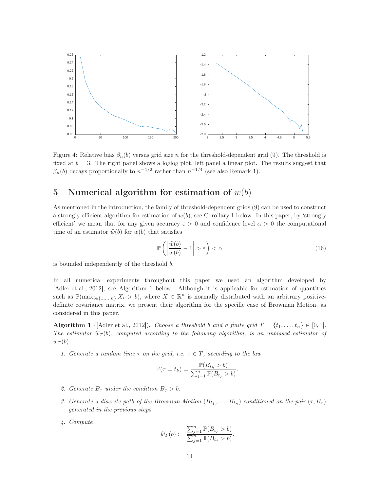<span id="page-13-2"></span>

Figure 4: Relative bias  $\beta_n(b)$  versus grid size n for the threshold-dependent grid [\(9\)](#page-9-1). The threshold is fixed at  $b = 3$ . The right panel shows a loglog plot, left panel a linear plot. The results suggest that  $\beta_n(b)$  decays proportionally to  $n^{-1/2}$  rather than  $n^{-1/4}$  (see also Remark [1\)](#page-12-2).

## <span id="page-13-0"></span>5 Numerical algorithm for estimation of  $w(b)$

As mentioned in the introduction, the family of threshold-dependent grids [\(9\)](#page-9-1) can be used to construct a strongly efficient algorithm for estimation of  $w(b)$ , see Corollary [1](#page-14-0) below. In this paper, by 'strongly efficient' we mean that for any given accuracy  $\varepsilon > 0$  and confidence level  $\alpha > 0$  the computational time of an estimator  $\hat{w}(b)$  for  $w(b)$  that satisfies

<span id="page-13-1"></span>
$$
\mathbb{P}\left(\left|\frac{\widehat{w}(b)}{w(b)} - 1\right| > \varepsilon\right) < \alpha\tag{16}
$$

is bounded independently of the threshold b.

In all numerical experiments throughout this paper we used an algorithm developed by [\[Adler et al., 2012\]](#page-28-1), see Algorithm [1](#page-13-3) below. Although it is applicable for estimation of quantities such as  $\mathbb{P}(\max_{i\in\{1,\ldots,n\}} X_i > b)$ , where  $X \in \mathbb{R}^n$  is normally distributed with an arbitrary positivedefinite covariance matrix, we present their algorithm for the specific case of Brownian Motion, as considered in this paper.

<span id="page-13-3"></span>**Algorithm 1** ([\[Adler et al., 2012\]](#page-28-1)). Choose a threshold b and a finite grid  $T = \{t_1, \ldots, t_n\} \in [0, 1].$ The estimator  $\hat{w}_T(b)$ , computed according to the following algorithm, is an unbiased estimator of  $w_T(b)$ .

1. Generate a random time  $\tau$  on the grid, i.e.  $\tau \in T$ , according to the law

$$
\mathbb{P}(\tau = t_k) = \frac{\mathbb{P}(B_{t_k} > b)}{\sum_{j=1}^n \mathbb{P}(B_{t_j} > b)}.
$$

- 2. Generate  $B_{\tau}$  under the condition  $B_{\tau} > b$ .
- 3. Generate a discrete path of the Brownian Motion  $(B_{t_1},...,B_{t_n})$  conditioned on the pair  $(\tau, B_{\tau})$ generated in the previous steps.
- 4. Compute

$$
\widehat{w}_T(b) := \frac{\sum_{j=1}^n \mathbb{P}(B_{t_j} > b)}{\sum_{j=1}^n \mathbb{1}(B_{t_j} > b)}.
$$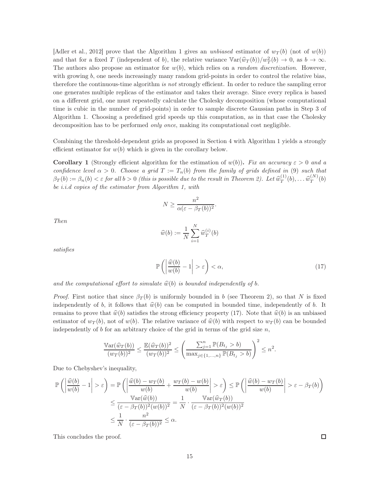[\[Adler et al., 2012\]](#page-28-1) prove that the Algorithm [1](#page-13-3) gives an unbiased estimator of  $w_T(b)$  (not of  $w(b)$ ) and that for a fixed T (independent of b), the relative variance  $\sqrt{\omega_T(b)}/\omega_T^2(b) \to 0$ , as  $b \to \infty$ . The authors also propose an estimator for  $w(b)$ , which relies on a *random discretization*. However, with growing b, one needs increasingly many random grid-points in order to control the relative bias, therefore the continuous-time algorithm is not strongly efficient. In order to reduce the sampling error one generates multiple replicas of the estimator and takes their average. Since every replica is based on a different grid, one must repeatedly calculate the Cholesky decomposition (whose computational time is cubic in the number of grid-points) in order to sample discrete Gaussian paths in Step 3 of Algorithm [1.](#page-13-3) Choosing a predefined grid speeds up this computation, as in that case the Cholesky decomposition has to be performed *only once*, making its computational cost negligible.

Combining the threshold-dependent grids as proposed in Section [4](#page-8-0) with Algorithm [1](#page-13-3) yields a strongly efficient estimator for  $w(b)$  which is given in the corollary below.

<span id="page-14-0"></span>**Corollary 1** (Strongly efficient algorithm for the estimation of  $w(b)$ ). Fix an accuracy  $\varepsilon > 0$  and a confidence level  $\alpha > 0$ . Choose a grid  $T := T_n(b)$  from the family of grids defined in [\(9\)](#page-9-1) such that  $\beta_T(b) := \beta_n(b) < \varepsilon$  for all  $b > 0$  (this is possible due to the result in Theorem [2\)](#page-9-0). Let  $\widehat{w}_T^{(1)}$  $\widehat{w}_T^{(1)}(b), \ldots \widehat{w}_T^{(N)}$  $T^{(N)}(b)$ be i.i.d copies of the estimator from Algorithm [1,](#page-13-3) with

$$
N \ge \frac{n^2}{\alpha(\varepsilon - \beta_T(b))^2}.
$$

Then

<span id="page-14-1"></span>
$$
\widehat{w}(b) := \frac{1}{N} \sum_{i=1}^N \widehat{w}_T^{(i)}(b)
$$

satisfies

$$
\mathbb{P}\left(\left|\frac{\widehat{w}(b)}{w(b)}-1\right|>\varepsilon\right)<\alpha,\tag{17}
$$

and the computational effort to simulate  $\hat{w}(b)$  is bounded independently of b.

*Proof.* First notice that since  $\beta_T(b)$  is uniformly bounded in b (see Theorem [2\)](#page-9-0), so that N is fixed independently of b, it follows that  $\hat{w}(b)$  can be computed in bounded time, independently of b. It remains to prove that  $\hat{w}(b)$  satisfies the strong efficiency property [\(17\)](#page-14-1). Note that  $\hat{w}(b)$  is an unbiased estimator of  $w_T(b)$ , not of  $w(b)$ . The relative variance of  $\hat{w}(b)$  with respect to  $w_T(b)$  can be bounded independently of b for an arbitrary choice of the grid in terms of the grid size  $n$ ,

$$
\frac{\mathbb{V}\text{ar}(\widehat{w}_T(b))}{(w_T(b))^2} \le \frac{\mathbb{E}(\widehat{w}_T(b))^2}{(w_T(b))^2} \le \left(\frac{\sum_{j=1}^n \mathbb{P}(B_{t_j} > b)}{\max_{j \in \{1, ..., n\}} \mathbb{P}(B_{t_j} > b)}\right)^2 \le n^2.
$$

Due to Chebyshev's inequality,

$$
\mathbb{P}\left(\left|\frac{\widehat{w}(b)}{w(b)}-1\right|>\varepsilon\right) = \mathbb{P}\left(\left|\frac{\widehat{w}(b)-w_T(b)}{w(b)}+\frac{w_T(b)-w(b)}{w(b)}\right|>\varepsilon\right) \le \mathbb{P}\left(\left|\frac{\widehat{w}(b)-w_T(b)}{w(b)}\right|>\varepsilon-\beta_T(b)\right) \le \frac{\text{Var}(\widehat{w}(b))}{(\varepsilon-\beta_T(b))^2(w(b))^2} = \frac{1}{N} \cdot \frac{\text{Var}(\widehat{w}_T(b))}{(\varepsilon-\beta_T(b))^2(w(b))^2} \le \frac{1}{N} \cdot \frac{n^2}{(\varepsilon-\beta_T(b))^2} \le \alpha.
$$

This concludes the proof.

□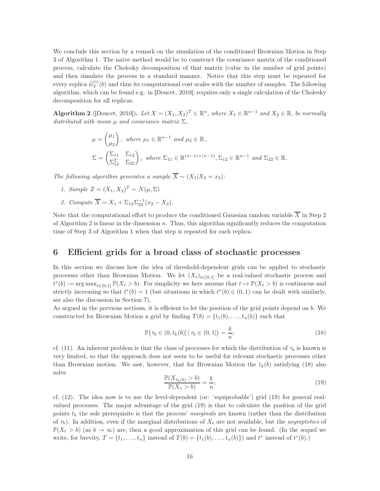We conclude this section by a remark on the simulation of the conditioned Brownian Motion in Step 3 of Algorithm [1.](#page-13-3) The naïve method would be to construct the covariance matrix of the conditioned process, calculate the Cholesky decomposition of that matrix (cubic in the number of grid points) and then simulate the process in a standard manner. Notice that this step must be repeated for every replica  $\widehat{w}_T^{(i)}$  $T^{(i)}(b)$  and thus its computational cost scales with the number of samples. The following algorithm, which can be found e.g. in [\[Doucet, 2010\]](#page-29-9), requires only a single calculation of the Cholesky decomposition for all replicas.

<span id="page-15-1"></span>Algorithm 2 ([\[Doucet, 2010\]](#page-29-9)). Let  $X = (X_1, X_2)^T \in \mathbb{R}^n$ , where  $X_1 \in \mathbb{R}^{n-1}$  and  $X_2 \in \mathbb{R}$ , be normally distributed with mean  $\mu$  and covariance matrix  $\Sigma$ ,

$$
\mu = \begin{pmatrix} \mu_1 \\ \mu_2 \end{pmatrix}, \text{ where } \mu_1 \in \mathbb{R}^{n-1} \text{ and } \mu_2 \in \mathbb{R},
$$
  
\n
$$
\Sigma = \begin{pmatrix} \Sigma_{11} & \Sigma_{12} \\ \Sigma_{12}^T & \Sigma_{22} \end{pmatrix}, \text{ where } \Sigma_{11} \in \mathbb{R}^{(n-1)\times(n-1)}, \Sigma_{12} \in \mathbb{R}^{n-1} \text{ and } \Sigma_{22} \in \mathbb{R}.
$$

The following algorithm generates a sample  $\overline{X} \sim (X_1 | X_2 = x_2)$ :

- 1. Sample  $Z = (X_1, X_2)^T \sim N(\mu, \Sigma)$
- 2. Compute  $\overline{X} = X_1 + \Sigma_{12} \Sigma_{22}^{-1} (x_2 X_2)$ .

Note that the computational effort to produce the conditioned Gaussian random variable  $\overline{X}$  in Step 2 of Algorithm [2](#page-15-1) is linear in the dimension  $n$ . Thus, this algorithm significantly reduces the computation time of Step 3 of Algorithm [1](#page-13-3) when that step is repeated for each replica.

#### <span id="page-15-0"></span>6 Efficient grids for a broad class of stochastic processes

In this section we discuss how the idea of threshold-dependent grids can be applied to stochastic processes other than Brownian Motion. We let  $(X_t)_{t\in[0,1]}$  be a real-valued stochastic process and  $t^*(b) := \arg \max_{t \in [0,1]} \mathbb{P}(X_t > b)$ . For simplicity we here assume that  $t \mapsto \mathbb{P}(X_t > b)$  is continuous and strictly increasing so that  $t^*(b) = 1$  (but situations in which  $t^*(b) \in (0, 1)$  can be dealt with similarly, see also the discussion in Section [7\)](#page-18-0).

As argued in the previous sections, it is efficient to let the position of the grid points depend on b. We constructed for Brownian Motion a grid by finding  $T(b) = \{t_1(b), \ldots, t_n(b)\}\$  such that

<span id="page-15-2"></span>
$$
\mathbb{P}\big(\tau_b \in (0, t_k(b)] \,|\, \tau_b \in (0, 1]\big) = \frac{k}{n};\tag{18}
$$

cf. [\(11\)](#page-9-3). An inherent problem is that the class of processes for which the distribution of  $\tau_b$  is known is very limited, so that the approach does not seem to be useful for relevant stochastic processes other than Brownian motion. We saw, however, that for Brownian Motion the  $t_k(b)$  satisfying [\(18\)](#page-15-2) also solve

<span id="page-15-3"></span>
$$
\frac{\mathbb{P}(X_{t_k(b)} > b)}{\mathbb{P}(X_1 > b)} = \frac{k}{n};\tag{19}
$$

cf. [\(12\)](#page-9-4). The idea now is to use the level-dependent (or: 'equiprobable') grid [\(19\)](#page-15-3) for general realvalued processes. The major advantage of the grid [\(19\)](#page-15-3) is that to calculate the position of the grid points  $t_k$  the sole prerequisite is that the process' marginals are known (rather than the distribution of  $\tau_b$ ). In addition, even if the marginal distributions of  $X_t$  are not available, but the *asymptotics* of  $\mathbb{P}(X_t > b)$  (as  $b \to \infty$ ) are, then a good approximation of this grid can be found. (In the sequel we write, for brevity,  $T = \{t_1, \ldots, t_n\}$  instead of  $T(b) = \{t_1(b), \ldots, t_n(b)\}\)$  and  $t^*$  instead of  $t^*(b)$ .)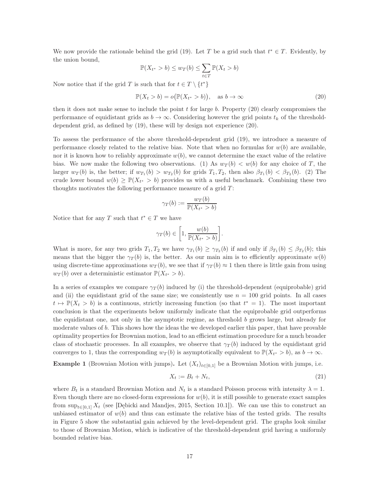We now provide the rationale behind the grid [\(19\)](#page-15-3). Let T be a grid such that  $t^* \in T$ . Evidently, by the union bound,

<span id="page-16-0"></span>
$$
\mathbb{P}(X_{t^*} > b) \le w_T(b) \le \sum_{t \in T} \mathbb{P}(X_t > b)
$$

Now notice that if the grid T is such that for  $t \in T \setminus \{t^*\}$ 

$$
\mathbb{P}(X_t > b) = o(\mathbb{P}(X_{t^*} > b)), \quad \text{as } b \to \infty \tag{20}
$$

then it does not make sense to include the point  $t$  for large  $b$ . Property [\(20\)](#page-16-0) clearly compromises the performance of equidistant grids as  $b \to \infty$ . Considering however the grid points  $t_k$  of the thresholddependent grid, as defined by [\(19\)](#page-15-3), these will by design not experience [\(20\)](#page-16-0).

To assess the performance of the above threshold-dependent grid [\(19\)](#page-15-3), we introduce a measure of performance closely related to the relative bias. Note that when no formulas for  $w(b)$  are available, nor it is known how to reliably approximate  $w(b)$ , we cannot determine the exact value of the relative bias. We now make the following two observations. (1) As  $w_T(b) < w(b)$  for any choice of T, the larger  $w_T(b)$  is, the better; if  $w_{T_1}(b) > w_{T_2}(b)$  for grids  $T_1, T_2$ , then also  $\beta_{T_1}(b) < \beta_{T_2}(b)$ . (2) The crude lower bound  $w(b) \geq \mathbb{P}(X_{t^*} > b)$  provides us with a useful benchmark. Combining these two thoughts motivates the following performance measure of a grid  $T$ :

$$
\gamma_T(b) := \frac{w_T(b)}{\mathbb{P}(X_{t^*} > b)}
$$

Notice that for any T such that  $t^* \in T$  we have

$$
\gamma_T(b)\in \bigg[1,\frac{w(b)}{\mathbb{P}(X_{t^*}>b)}\bigg].
$$

What is more, for any two grids  $T_1, T_2$  we have  $\gamma_{T_1}(b) \geq \gamma_{T_2}(b)$  if and only if  $\beta_{T_1}(b) \leq \beta_{T_2}(b)$ ; this means that the bigger the  $\gamma_T(b)$  is, the better. As our main aim is to efficiently approximate  $w(b)$ using discrete-time approximations  $w_T(b)$ , we see that if  $\gamma_T(b) \approx 1$  then there is little gain from using  $w_T(b)$  over a deterministic estimator  $\mathbb{P}(X_{t^*} > b)$ .

In a series of examples we compare  $\gamma_T(b)$  induced by (i) the threshold-dependent (equiprobable) grid and (ii) the equidistant grid of the same size; we consistently use  $n = 100$  grid points. In all cases  $t \mapsto \mathbb{P}(X_t > b)$  is a continuous, strictly increasing function (so that  $t^* = 1$ ). The most important conclusion is that the experiments below uniformly indicate that the equiprobable grid outperforms the equidistant one, not only in the asymptotic regime, as threshold  $b$  grows large, but already for moderate values of b. This shows how the ideas the we developed earlier this paper, that have provable optimality properties for Brownian motion, lead to an efficient estimation procedure for a much broader class of stochastic processes. In all examples, we observe that  $\gamma_T(b)$  induced by the equidistant grid converges to 1, thus the corresponding  $w_T(b)$  is asymptotically equivalent to  $\mathbb{P}(X_{t^*} > b)$ , as  $b \to \infty$ .

**Example 1** (Brownian Motion with jumps). Let  $(X_t)_{t\in[0,1]}$  be a Brownian Motion with jumps, i.e.

$$
X_t := B_t + N_t,\tag{21}
$$

where  $B_t$  is a standard Brownian Motion and  $N_t$  is a standard Poisson process with intensity  $\lambda = 1$ . Even though there are no closed-form expressions for  $w(b)$ , it is still possible to generate exact samples from  $\sup_{t\in[0,1]} X_t$  (see [\[Dębicki and Mandjes, 2015,](#page-29-10) Section 10.1]). We can use this to construct an unbiased estimator of  $w(b)$  and thus can estimate the relative bias of the tested grids. The results in Figure [5](#page-17-0) show the substantial gain achieved by the level-dependent grid. The graphs look similar to those of Brownian Motion, which is indicative of the threshold-dependent grid having a uniformly bounded relative bias.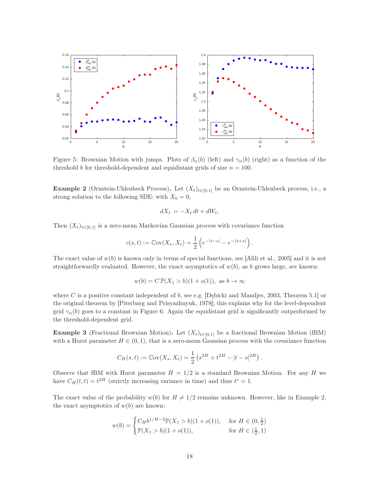<span id="page-17-0"></span>

Figure 5: Brownian Motion with jumps. Plots of  $\beta_n(b)$  (left) and  $\gamma_n(b)$  (right) as a function of the threshold b for threshold-dependent and equidistant grids of size  $n = 100$ .

<span id="page-17-1"></span>Example 2 (Ornstein-Uhlenbeck Process). Let  $(X_t)_{t\in[0,1]}$  be an Ornstein-Uhlenbeck process, i.e., a strong solution to the following SDE: with  $X_0 = 0$ ,

$$
dX_t = -X_t dt + dW_t.
$$

Then  $(X_t)_{t\in[0,1]}$  is a zero-mean Markovian Gaussian process with covariance function

$$
c(s,t) := \mathbb{C}\mathrm{ov}(X_s, X_t) = \frac{1}{2} \left( e^{-|t-s|} - e^{-(t+s)} \right).
$$

The exact value of  $w(b)$  is known only in terms of special functions, see [\[Alili et al., 2005\]](#page-28-4) and it is not straightforwardly evaluated. However, the exact asymptotics of  $w(b)$ , as b grows large, are known:

$$
w(b) = C \, \mathbb{P}(X_1 > b)(1 + o(1)), \text{ as } b \to \infty
$$

where C is a positive constant independent of b, see e.g. [Debicki and Mandjes, 2003, Theorem 5.1] or the original theorem by [\[Piterbarg and Prisyazhnyuk, 1978\]](#page-29-12); this explains why for the level-dependent grid  $\gamma_n(b)$  goes to a constant in Figure [6.](#page-18-1) Again the equidistant grid is significantly outperformed by the threshold-dependent grid.

**Example 3** (Fractional Brownian Motion). Let  $(X_t)_{t\in[0,1]}$  be a fractional Brownian Motion (fBM) with a Hurst parameter  $H \in (0, 1)$ , that is a zero-mean Gaussian process with the covariance function

$$
C_H(s,t) := \mathbb{C}\text{ov}(X_s, X_t) = \frac{1}{2} \left( s^{2H} + t^{2H} - |t - s|^{2H} \right).
$$

Observe that fBM with Hurst parameter  $H = 1/2$  is a standard Brownian Motion. For any H we have  $C_H(t,t) = t^{2H}$  (strictly increasing variance in time) and thus  $t^* = 1$ .

The exact value of the probability  $w(b)$  for  $H \neq 1/2$  remains unknown. However, like in Example [2,](#page-17-1) the exact asymptotics of  $w(b)$  are known:

$$
w(b) = \begin{cases} C_H b^{1/H - 2} \mathbb{P}(X_1 > b)(1 + o(1)), & \text{for } H \in (0, \frac{1}{2})\\ \mathbb{P}(X_1 > b)(1 + o(1)), & \text{for } H \in (\frac{1}{2}, 1) \end{cases}
$$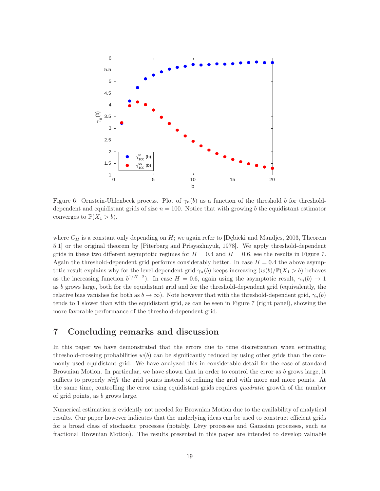<span id="page-18-1"></span>

Figure 6: Ornstein-Uhlenbeck process. Plot of  $\gamma_n(b)$  as a function of the threshold b for thresholddependent and equidistant grids of size  $n = 100$ . Notice that with growing b the equidistant estimator converges to  $\mathbb{P}(X_1 > b)$ .

where  $C_H$  is a constant only depending on H; we again refer to [\[Dębicki and Mandjes, 2003,](#page-29-11) Theorem 5.1] or the original theorem by [\[Piterbarg and Prisyazhnyuk, 1978\]](#page-29-12). We apply threshold-dependent grids in these two different asymptotic regimes for  $H = 0.4$  and  $H = 0.6$ , see the results in Figure [7.](#page-19-0) Again the threshold-dependent grid performs considerably better. In case  $H = 0.4$  the above asymptotic result explains why for the level-dependent grid  $\gamma_n(b)$  keeps increasing  $(w(b)/\mathbb{P}(X_1 > b)$  behaves as the increasing function  $b^{1/H-2}$ ). In case  $H = 0.6$ , again using the asymptotic result,  $\gamma_n(b) \to 1$ as b grows large, both for the equidistant grid and for the threshold-dependent grid (equivalently, the relative bias vanishes for both as  $b \to \infty$ ). Note however that with the threshold-dependent grid,  $\gamma_n(b)$ tends to 1 slower than with the equidistant grid, as can be seen in Figure [7](#page-19-0) (right panel), showing the more favorable performance of the threshold-dependent grid.

## <span id="page-18-0"></span>7 Concluding remarks and discussion

In this paper we have demonstrated that the errors due to time discretization when estimating threshold-crossing probabilities  $w(b)$  can be significantly reduced by using other grids than the commonly used equidistant grid. We have analyzed this in considerable detail for the case of standard Brownian Motion. In particular, we have shown that in order to control the error as  $b$  grows large, it suffices to properly *shift* the grid points instead of refining the grid with more and more points. At the same time, controlling the error using equidistant grids requires *quadratic* growth of the number of grid points, as b grows large.

Numerical estimation is evidently not needed for Brownian Motion due to the availability of analytical results. Our paper however indicates that the underlying ideas can be used to construct efficient grids for a broad class of stochastic processes (notably, Lévy processes and Gaussian processes, such as fractional Brownian Motion). The results presented in this paper are intended to develop valuable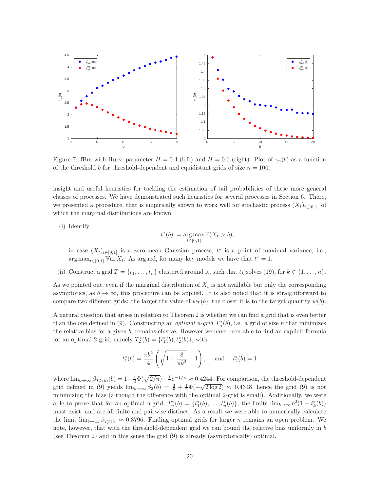<span id="page-19-0"></span>

Figure 7: fBm with Hurst parameter  $H = 0.4$  (left) and  $H = 0.6$  (right). Plot of  $\gamma_n(b)$  as a function of the threshold b for threshold-dependent and equidistant grids of size  $n = 100$ .

insight and useful heuristics for tackling the estimation of tail probabilities of these more general classes of processes. We have demonstrated such heuristics for several processes in Section [6.](#page-15-0) There, we presented a procedure, that is empirically shown to work well for stochastic process  $(X_t)_{t\in[0,1]}$  of which the marginal distributions are known:

(i) Identify

$$
t^*(b) := \underset{t \in [0,1]}{\arg \max} \mathbb{P}(X_t > b);
$$

in case  $(X_t)_{t\in[0,1]}$  is a zero-mean Gaussian process,  $t^*$  is a point of maximal variance, i.e.,  $\arg \max_{t \in [0,1]} \mathbb{V} \text{ar } X_t$ . As argued, for many key models we have that  $t^* = 1$ .

(ii) Construct a grid  $T = \{t_1, \ldots, t_n\}$  clustered around it, such that  $t_k$  solves [\(19\)](#page-15-3), for  $k \in \{1, \ldots, n\}$ .

As we pointed out, even if the marginal distribution of  $X_t$  is not available but only the corresponding asymptotics, as  $b \to \infty$ , this procedure can be applied. It is also noted that it is straightforward to compare two different grids: the larger the value of  $w_T(b)$ , the closer it is to the target quantity  $w(b)$ .

A natural question that arises in relation to Theorem [2](#page-9-0) is whether we can find a grid that is even better than the one defined in [\(9\)](#page-9-1). Constructing an *optimal n-grid*  $T_n^*(b)$ , i.e. a grid of size *n* that minimizes the relative bias for a given b, remains elusive. However we have been able to find an explicit formula for an optimal 2-grid, namely  $T_2^*(b) = \{t_1^*(b), t_2^*(b)\},\$  with

$$
t_1^*(b) = \frac{\pi b^2}{4} \left( \sqrt{1 + \frac{8}{\pi b^2}} - 1 \right)
$$
, and  $t_2^*(b) = 1$ 

where  $\lim_{b\to\infty}\beta_{T_2^*(b)}(b)=1-\frac{1}{2}\Phi(\sqrt{2/\pi})-\frac{1}{4}e^{-1/\pi}\approx 0.4244$ . For comparison, the threshold-dependent grid defined in [\(9\)](#page-9-1) yields  $\lim_{b\to\infty} \frac{2}{\beta_2(b)} = \frac{3}{8} + \frac{1}{2}\Phi(-\sqrt{2 \log 2}) \approx 0.4348$ , hence the grid (9) is not minimizing the bias (although the difference with the optimal 2-grid is small). Additionally, we were able to prove that for an optimal n-grid,  $T_n^*(b) = \{t_1^*(b), \ldots, t_n^*(b)\}$ , the limits  $\lim_{b \to \infty} b^2(1 - t_k^*(b))$ must exist, and are all finite and pairwise distinct. As a result we were able to numerically calculate the limit  $\lim_{b\to\infty} \beta_{T_3^*(b)} \approx 0.3796$ . Finding optimal grids for larger n remains an open problem. We note, however, that with the threshold-dependent grid we can bound the relative bias uniformly in  $b$ (see Theorem [2\)](#page-9-0) and in this sense the grid [\(9\)](#page-9-1) is already (asymptotically) optimal.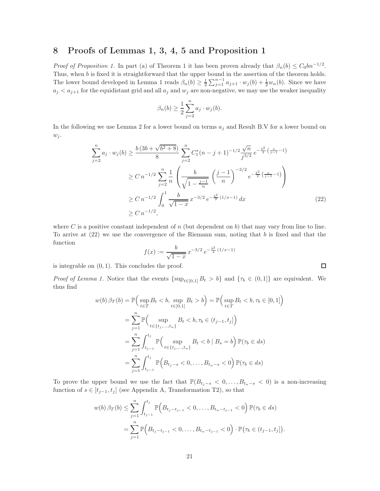### <span id="page-20-0"></span>8 Proofs of Lemmas [1,](#page-6-0) [3,](#page-6-2) [4,](#page-10-1) [5](#page-11-1) and Proposition [1](#page-4-0)

*Proof of Proposition [1.](#page-4-0)* In part (a) of Theorem [1](#page-5-0) it has been proven already that  $\beta_n(b) \leq C_0 b n^{-1/2}$ . Thus, when  $b$  is fixed it is straightforward that the upper bound in the assertion of the theorem holds. The lower bound developed in Lemma [1](#page-6-0) reads  $\beta_n(b) \geq \frac{1}{2} \sum_{j=1}^{n-1} a_{j+1} \cdot w_j(b) + \frac{1}{2} w_n(b)$ . Since we have  $a_j < a_{j+1}$  for the equidistant grid and all  $a_j$  and  $w_j$  are non-negative, we may use the weaker inequality

$$
\beta_n(b) \ge \frac{1}{2} \sum_{j=2}^n a_j \cdot w_j(b).
$$

In the following we use Lemma [2](#page-6-1) for a lower bound on terms  $a_i$  and Result [B](#page-25-0)[.V](#page-25-1) for a lower bound on  $w_i$ .

$$
\sum_{j=2}^{n} a_j \cdot w_j(b) \ge \frac{b(3b + \sqrt{b^2 + 8})}{8} \sum_{j=2}^{n} C_1^*(n - j + 1)^{-1/2} \frac{\sqrt{n}}{j^{3/2}} e^{-\frac{b^2}{2} (\frac{n}{j-1} - 1)}
$$
  
\n
$$
\ge C n^{-1/2} \sum_{j=2}^{n} \frac{1}{n} \left( \frac{b}{\sqrt{1 - \frac{j-1}{n}}} \left( \frac{j-1}{n} \right)^{-3/2} e^{-\frac{b^2}{2} (\frac{n}{j-1} - 1)} \right)
$$
  
\n
$$
\ge C n^{-1/2} \int_0^1 \frac{b}{\sqrt{1 - x}} x^{-3/2} e^{-\frac{b^2}{2} (1/x - 1)} dx
$$
  
\n
$$
\ge C n^{-1/2}, \tag{22}
$$

where C is a positive constant independent of  $n$  (but dependent on b) that may vary from line to line. To arrive at  $(22)$  we use the convergence of the Riemann sum, noting that b is fixed and that the function

$$
f(x) := \frac{b}{\sqrt{1-x}} x^{-3/2} e^{-\frac{b^2}{2}(1/x - 1)}
$$

is integrable on  $(0, 1)$ . This concludes the proof.

*Proof of Lemma [1.](#page-6-0)* Notice that the events  $\{\sup_{t\in[0,1]} B_t > b\}$  and  $\{\tau_b \in (0,1]\}$  are equivalent. We thus find

$$
w(b) \beta_T(b) = \mathbb{P}\Big(\sup_{t \in T} B_t < b, \sup_{t \in [0,1]} B_t > b\Big) = \mathbb{P}\Big(\sup_{t \in T} B_t < b, \tau_b \in [0,1]\Big)
$$
\n
$$
= \sum_{j=1}^n \mathbb{P}\Big(\sup_{t \in \{t_j, \dots, t_n\}} B_t < b, \tau_b \in (t_{j-1}, t_j]\Big)
$$
\n
$$
= \sum_{j=1}^n \int_{t_{j-1}}^{t_j} \mathbb{P}\Big(\sup_{t \in \{t_j, \dots, t_n\}} B_t < b \mid B_s = b\Big) \mathbb{P}(\tau_b \in ds)
$$
\n
$$
= \sum_{j=1}^n \int_{t_{j-1}}^{t_j} \mathbb{P}\Big(B_{t_j - s} < 0, \dots, B_{t_n - s} < 0\Big) \mathbb{P}(\tau_b \in ds)
$$

To prove the upper bound we use the fact that  $\mathbb{P}(B_{t_j-s} < 0, \ldots, B_{t_n-s} < 0)$  is a non-increasing function of  $s \in [t_{j-1}, t_j]$  (see Appendix [A,](#page-24-0) Transformation [T2\)](#page-24-1), so that

$$
w(b) \beta_T(b) \le \sum_{j=1}^n \int_{t_{j-1}}^{t_j} \mathbb{P}\Big(B_{t_j - t_{j-1}} < 0, \dots, B_{t_n - t_{j-1}} < 0\Big) \mathbb{P}(\tau_b \in ds)
$$
  
= 
$$
\sum_{j=1}^n \mathbb{P}\Big(B_{t_j - t_{j-1}} < 0, \dots, B_{t_n - t_{j-1}} < 0\Big) \cdot \mathbb{P}\big(\tau_b \in (t_{j-1}, t_j]\big)
$$

.

<span id="page-20-1"></span> $\Box$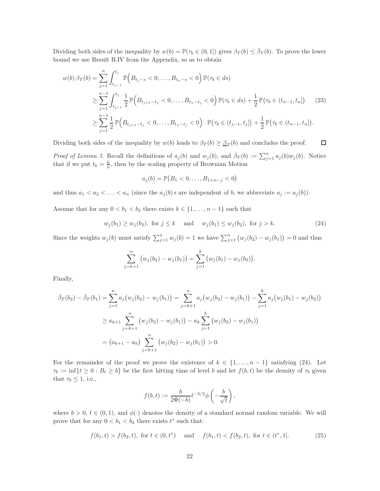Dividing both sides of the inequality by  $w(b) = \mathbb{P}(\tau_b \in (0,1])$  gives  $\beta_T(b) \leq \bar{\beta}_T(b)$ . To prove the lower bound we use Result [B](#page-25-0)[.IV](#page-25-4) from the Appendix, so as to obtain

$$
w(b) \beta_T(b) = \sum_{j=1}^n \int_{t_{j-1}}^{t_j} \mathbb{P}\Big(B_{t_{j-s}} < 0, \dots, B_{t_n-s} < 0\Big) \mathbb{P}(\tau_b \in ds)
$$
  
\n
$$
\geq \sum_{j=1}^{n-1} \int_{t_{j-1}}^{t_j} \frac{1}{2} \mathbb{P}\Big(B_{t_{j+1}-t_j} < 0, \dots, B_{t_n-t_j} < 0\Big) \mathbb{P}(\tau_b \in ds) + \frac{1}{2} \mathbb{P}\big(\tau_b \in (t_{n-1}, t_n]\big) \tag{23}
$$
  
\n
$$
\geq \sum_{j=1}^{n-1} \frac{1}{2} \mathbb{P}\Big(B_{t_{j+1}-t_j} < 0, \dots, B_{t_n-t_j} < 0\Big) \cdot \mathbb{P}\big(\tau_b \in (t_{j-1}, t_j]\big) + \frac{1}{2} \mathbb{P}\big(\tau_b \in (t_{n-1}, t_n]\big).
$$

Dividing both sides of the inequality by  $w(b)$  leads to  $\beta_T(b) \geq \beta_T(b)$  and concludes the proof.  $\Box$ 

*Proof of Lemma [3.](#page-6-2)* Recall the definitions of  $a_j(b)$  and  $w_j(b)$ , and  $\bar{\beta}_T(b) := \sum_{j=1}^n a_j(b)w_j(b)$ . Notice that if we put  $t_k = \frac{k}{n}$ , then by the scaling property of Brownian Motion

<span id="page-21-0"></span>
$$
a_j(b) = \mathbb{P}(B_1 < 0, \dots, B_{1+n-j} < 0)
$$

and thus  $a_1 < a_2 < \ldots < a_n$  (since the  $a_j(b)$  s are independent of b, we abbreviate  $a_j := a_j(b)$ ).

Assume that for any  $0 < b_1 < b_2$  there exists  $k \in \{1, ..., n-1\}$  such that

$$
w_j(b_1) \ge w_j(b_2)
$$
, for  $j \le k$  and  $w_j(b_1) \le w_j(b_2)$ , for  $j > k$ . (24)

Since the weights  $w_j(b)$  must satisfy  $\sum_{j=1}^n w_j(b) = 1$  we have  $\sum_{j=1}^n (w_j(b_2) - w_j(b_1)) = 0$  and thus

$$
\sum_{j=k+1}^{n} (w_j(b_2) - w_j(b_1)) = \sum_{j=1}^{k} (w_j(b_1) - w_j(b_2)).
$$

Finally,

$$
\bar{\beta}_T(b_2) - \bar{\beta}_T(b_1) = \sum_{j=1}^n a_j (w_j(b_2) - w_j(b_1)) = \sum_{j=k+1}^n a_j (w_j(b_2) - w_j(b_1)) - \sum_{j=1}^k a_j (w_j(b_1) - w_j(b_2))
$$
  
\n
$$
\ge a_{k+1} \sum_{j=k+1}^n (w_j(b_2) - w_j(b_1)) - a_k \sum_{j=1}^k (w_j(b_2) - w_j(b_1))
$$
  
\n
$$
= (a_{k+1} - a_k) \sum_{j=k+1}^n (w_j(b_2) - w_j(b_1)) > 0.
$$

For the remainder of the proof we prove the existence of  $k \in \{1, \ldots, n-1\}$  satisfying [\(24\)](#page-21-0). Let  $\tau_b := \inf\{t \geq 0 : B_t \geq b\}$  be the first hitting time of level b and let  $f(b, t)$  be the density of  $\tau_b$  given that  $\tau_b \leq 1$ , i.e.,

<span id="page-21-1"></span>
$$
f(b,t):=\frac{b}{2\Phi(-b)}t^{-3/2}\phi\left(-\frac{b}{\sqrt{t}}\right),
$$

where  $b > 0$ ,  $t \in (0, 1)$ , and  $\phi(\cdot)$  denotes the density of a standard normal random variable. We will prove that for any  $0 < b_1 < b_2$  there exists  $t^*$  such that:

$$
f(b_1, t) > f(b_2, t)
$$
, for  $t \in (0, t^*)$  and  $f(b_1, t) < f(b_2, t)$ , for  $t \in (t^*, 1]$ . (25)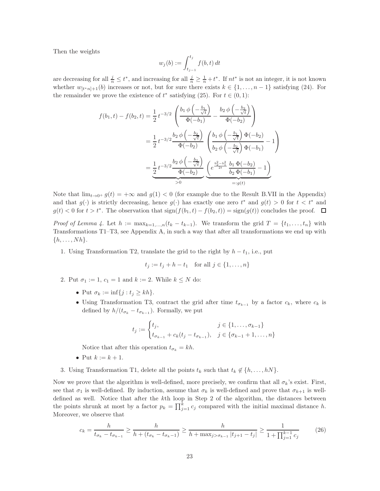Then the weights

$$
w_j(b) := \int_{t_{j-1}}^{t_j} f(b, t) dt
$$

are decreasing for all  $\frac{j}{n} \leq t^*$ , and increasing for all  $\frac{j}{n} \geq \frac{1}{n} + t^*$ . If  $nt^*$  is not an integer, it is not known whether  $w_{[t^*n]+1}(b)$  increases or not, but for sure there exists  $k \in \{1, \ldots, n-1\}$  satisfying [\(24\)](#page-21-0). For the remainder we prove the existence of  $t^*$  satisfying [\(25\)](#page-21-1). For  $t \in (0,1)$ :

$$
f(b_1, t) - f(b_2, t) = \frac{1}{2} t^{-3/2} \left( \frac{b_1 \phi \left( -\frac{b_1}{\sqrt{t}} \right)}{\Phi(-b_1)} - \frac{b_2 \phi \left( -\frac{b_2}{\sqrt{t}} \right)}{\Phi(-b_2)} \right)
$$
  

$$
= \frac{1}{2} t^{-3/2} \frac{b_2 \phi \left( -\frac{b_2}{\sqrt{t}} \right)}{\Phi(-b_2)} \left( \frac{b_1 \phi \left( -\frac{b_1}{\sqrt{t}} \right) \Phi(-b_2)}{b_2 \phi \left( -\frac{b_2}{\sqrt{t}} \right) \Phi(-b_1)} - 1 \right)
$$
  

$$
= \underbrace{\frac{1}{2} t^{-3/2} \frac{b_2 \phi \left( -\frac{b_2}{\sqrt{t}} \right)}{\Phi(-b_2)}}_{>0} \underbrace{\left( e^{\frac{b_2^2 - b_1^2}{2t}} \frac{b_1 \Phi(-b_2)}{b_2 \Phi(-b_1)} - 1 \right)}_{=:g(t)}
$$

Note that  $\lim_{t\to 0^+} g(t) = +\infty$  and  $g(1) < 0$  (for example due to the Result [B.](#page-25-0)[VII](#page-25-5) in the Appendix) and that  $g(\cdot)$  is strictly decreasing, hence  $g(\cdot)$  has exactly one zero  $t^*$  and  $g(t) > 0$  for  $t < t^*$  and  $g(t) < 0$  for  $t > t^*$ . The observation that  $\text{sign}(f(b_1, t) - f(b_2, t)) = \text{sign}(g(t))$  concludes the proof.

Proof of Lemma [4.](#page-10-1) Let  $h := \max_{k=1,\dots,n} (t_k - t_{k-1})$ . We transform the grid  $T = \{t_1, \dots, t_n\}$  with Transformations [T1–](#page-24-2)[T3,](#page-24-3) see Appendix [A,](#page-24-0) in such a way that after all transformations we end up with  $\{h, \ldots, Nh\}.$ 

1. Using Transformation [T2,](#page-24-1) translate the grid to the right by  $h - t_1$ , i.e., put

$$
t_j := t_j + h - t_1
$$
 for all  $j \in \{1, ..., n\}$ 

- 2. Put  $\sigma_1 := 1, c_1 = 1$  and  $k := 2$ . While  $k \leq N$  do:
	- Put  $\sigma_k := \inf\{j : t_j \ge kh\}.$
	- Using Transformation [T3,](#page-24-3) contract the grid after time  $t_{\sigma_{k-1}}$  by a factor  $c_k$ , where  $c_k$  is defined by  $h/(t_{\sigma_k} - t_{\sigma_{k-1}})$ . Formally, we put

<span id="page-22-0"></span>
$$
t_j := \begin{cases} t_j, & j \in \{1, \dots, \sigma_{k-1}\} \\ t_{\sigma_{k-1}} + c_k(t_j - t_{\sigma_{k-1}}), & j \in \{\sigma_{k-1} + 1, \dots, n\} \end{cases}
$$

Notice that after this operation  $t_{\sigma_k} = kh$ .

- Put  $k := k + 1$ .
- 3. Using Transformation [T1,](#page-24-2) delete all the points  $t_k$  such that  $t_k \notin \{h, \ldots, hN\}$ .

Now we prove that the algorithm is well-defined, more precisely, we confirm that all  $\sigma_k$ 's exist. First, see that  $\sigma_1$  is well-defined. By induction, assume that  $\sigma_k$  is well-defined and prove that  $\sigma_{k+1}$  is welldefined as well. Notice that after the kth loop in Step 2 of the algorithm, the distances between the points shrunk at most by a factor  $p_k = \prod_{j=1}^k c_j$  compared with the initial maximal distance h. Moreover, we observe that

$$
c_k = \frac{h}{t_{\sigma_k} - t_{\sigma_{k-1}}} \ge \frac{h}{h + (t_{\sigma_k} - t_{\sigma_{k-1}})} \ge \frac{h}{h + \max_{j > \sigma_{k-1}} |t_{j+1} - t_j|} \ge \frac{1}{1 + \prod_{j=1}^{k-1} c_j} \tag{26}
$$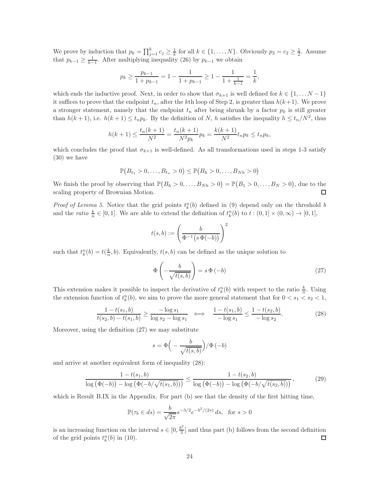We prove by induction that  $p_k = \prod_{j=1}^k c_j \geq \frac{1}{k}$  for all  $k \in \{1, ..., N\}$ . Obviously  $p_2 = c_2 \geq \frac{1}{2}$ . Assume that  $p_{k-1} \geq \frac{1}{k-1}$ . After multiplying inequality [\(26\)](#page-22-0) by  $p_{k-1}$  we obtain

$$
p_k \ge \frac{p_{k-1}}{1 + p_{k-1}} = 1 - \frac{1}{1 + p_{k-1}} \ge 1 - \frac{1}{1 + \frac{1}{k-1}} = \frac{1}{k},
$$

which ends the inductive proof. Next, in order to show that  $\sigma_{k+1}$  is well defined for  $k \in \{1, \ldots N-1\}$ it suffices to prove that the endpoint  $t_n$ , after the kth loop of Step 2, is greater than  $h(k+1)$ . We prove a stronger statement, namely that the endpoint  $t_n$  after being shrunk by a factor  $p_k$  is still greater than  $h(k+1)$ , i.e.  $h(k+1) \le t_n p_k$ . By the definition of N, h satisfies the inequality  $h \le t_n/N^2$ , thus

$$
h(k+1) \le \frac{t_n(k+1)}{N^2} = \frac{t_n(k+1)}{N^2 p_k} p_k = \frac{k(k+1)}{N^2} t_n p_k \le t_n p_k,
$$

which concludes the proof that  $\sigma_{k+1}$  is well-defined. As all transformations used in steps 1-3 satisfy [\(30\)](#page-24-4) we have

$$
\mathbb{P}(B_{t_1}>0,\ldots,B_{t_n}>0)\leq \mathbb{P}(B_h>0,\ldots,B_{Nh}>0)
$$

We finish the proof by observing that  $\mathbb{P}(B_h > 0, \ldots, B_{Nh} > 0) = \mathbb{P}(B_1 > 0, \ldots, B_N > 0)$ , due to the scaling property of Brownian Motion. □

*Proof of Lemma [5.](#page-11-1)* Notice that the grid points  $t_k^n(b)$  defined in [\(9\)](#page-9-1) depend only on the threshold b and the *ratio*  $\frac{k}{n} \in [0,1]$ . We are able to extend the definition of  $t_k^n(b)$  to  $t:(0,1] \times (0,\infty) \to [0,1]$ ,

$$
t(s,b) := \left(\frac{b}{\Phi^{-1}(s\,\Phi(-b))}\right)^2
$$

such that  $t_k^n(b) = t(\frac{k}{n}, b)$ . Equivalently,  $t(s, b)$  can be defined as the unique solution to

<span id="page-23-0"></span>
$$
\Phi\left(-\frac{b}{\sqrt{t(s,b)}}\right) = s\,\Phi\left(-b\right) \tag{27}
$$

This extension makes it possible to inspect the derivative of  $t_k^n(b)$  with respect to the ratio  $\frac{k}{n}$ . Using the extension function of  $t_k^n(b)$ , we aim to prove the more general statement that for  $0 < s_1 < s_2 < 1$ ,

$$
\frac{1 - t(s_1, b)}{t(s_2, b) - t(s_1, b)} \ge \frac{-\log s_1}{\log s_2 - \log s_1} \iff \frac{1 - t(s_1, b)}{-\log s_1} \le \frac{1 - t(s_2, b)}{-\log s_2}.
$$
\n(28)

Moreover, using the definition [\(27\)](#page-23-0) we may substitute

<span id="page-23-1"></span>
$$
s = \Phi\left(-\frac{b}{\sqrt{t(s,b)}}\right)/\Phi(-b)
$$

and arrive at another equivalent form of inequality [\(28\)](#page-23-1):

$$
\frac{1 - t(s_1, b)}{\log (\Phi(-b)) - \log (\Phi(-b/\sqrt{t(s_1, b)}))} \le \frac{1 - t(s_2, b)}{\log (\Phi(-b)) - \log (\Phi(-b/\sqrt{t(s_2, b)}))},
$$
(29)

which is Result [B](#page-25-0)[.IX](#page-26-0) in the Appendix. For part (b) see that the density of the first hitting time,

$$
\mathbb{P}(\tau_b \in ds) = \frac{b}{\sqrt{2\pi}} s^{-3/2} e^{-b^2/(2s)} ds, \text{ for } s > 0
$$

is an increasing function on the interval  $s \in [0, \frac{b^2}{3}]$  $\frac{5}{3}$  and thus part (b) follows from the second definition of the grid points  $t_k^n(b)$  in [\(10\)](#page-9-2).  $\Box$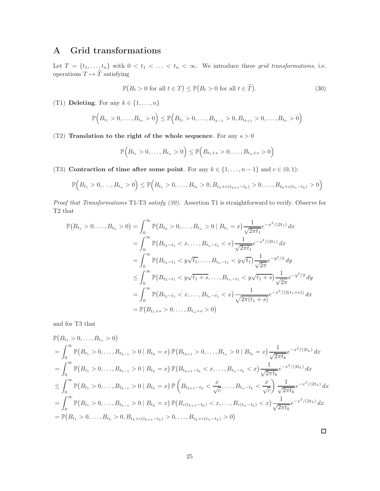## <span id="page-24-0"></span>A Grid transformations

Let  $T = \{t_1, \ldots, t_n\}$  with  $0 < t_1 < \ldots < t_n < \infty$ . We introduce three grid transformations, i.e. operations  $T \mapsto \widetilde{T}$  satisfying

<span id="page-24-4"></span>
$$
\mathbb{P}(B_t > 0 \text{ for all } t \in T) \le \mathbb{P}(B_t > 0 \text{ for all } t \in \tilde{T}).
$$
\n(30)

<span id="page-24-2"></span>(T1) Deleting. For any  $k \in \{1, \ldots, n\}$ 

$$
\mathbb{P}\Big(B_{t_1} > 0,\ldots,B_{t_n} > 0\Big) \le \mathbb{P}\Big(B_{t_1} > 0,\ldots,B_{t_{k-1}} > 0,B_{t_{k+1}} > 0,\ldots,B_{t_n} > 0\Big)
$$

<span id="page-24-1"></span>(T2) Translation to the right of the whole sequence. For any  $s > 0$ 

$$
\mathbb{P}\Big(B_{t_1} > 0, \ldots, B_{t_n} > 0\Big) \le \mathbb{P}\Big(B_{t_1+s} > 0, \ldots, B_{t_n+s} > 0\Big)
$$

<span id="page-24-3"></span>(T3) Contraction of time after some point. For any  $k \in \{1, ..., n-1\}$  and  $c \in (0,1)$ :

$$
\mathbb{P}\Big(B_{t_1} > 0,\ldots,B_{t_n} > 0\Big) \le \mathbb{P}\Big(B_{t_1} > 0,\ldots,B_{t_k} > 0, B_{t_k + c(t_{k+1} - t_k)} > 0,\ldots,B_{t_k + c(t_n - t_k)} > 0\Big)
$$

Proof that Transformations T1-T3 satisfy [\(30\)](#page-24-4). Assertion [T1](#page-24-2) is straightforward to verify. Observe for [T2](#page-24-1) that

$$
\mathbb{P}(B_{t_1} > 0, \dots, B_{t_n} > 0) = \int_0^\infty \mathbb{P}(B_{t_2} > 0, \dots, B_{t_n} > 0 \mid B_{t_1} = x) \frac{1}{\sqrt{2\pi t_1}} e^{-x^2/(2t_1)} dx
$$
  
\n
$$
= \int_0^\infty \mathbb{P}(B_{t_2-t_1} < x, \dots, B_{t_n-t_1} < x) \frac{1}{\sqrt{2\pi t_1}} e^{-x^2/(2t_1)} dx
$$
  
\n
$$
= \int_0^\infty \mathbb{P}(B_{t_2-t_1} < y\sqrt{t_1}, \dots, B_{t_n-t_1} < y\sqrt{t_1}) \frac{1}{\sqrt{2\pi}} e^{-y^2/2} dy
$$
  
\n
$$
\leq \int_0^\infty \mathbb{P}(B_{t_2-t_1} < y\sqrt{t_1+s}, \dots, B_{t_n-t_1} < y\sqrt{t_1+s}) \frac{1}{\sqrt{2\pi}} e^{-y^2/2} dy
$$
  
\n
$$
= \int_0^\infty \mathbb{P}(B_{t_2-t_1} < x, \dots, B_{t_n-t_1} < x) \frac{1}{\sqrt{2\pi(t_1+s)}} e^{-x^2/(2(t_1+s))} dx
$$
  
\n
$$
= \mathbb{P}(B_{t_1+s} > 0, \dots, B_{t_n+s} > 0)
$$

and for [T3](#page-24-3) that

$$
\mathbb{P}(B_{t_1} > 0, \ldots, B_{t_n} > 0)
$$
\n
$$
= \int_0^\infty \mathbb{P}(B_{t_1} > 0, \ldots, B_{t_{k-1}} > 0 \mid B_{t_k} = x) \mathbb{P}(B_{t_{k+1}} > 0, \ldots, B_{t_n} > 0 \mid B_{t_k} = x) \frac{1}{\sqrt{2\pi t_k}} e^{-x^2/(2t_k)} dx
$$
\n
$$
= \int_0^\infty \mathbb{P}(B_{t_1} > 0, \ldots, B_{t_{k-1}} > 0 \mid B_{t_k} = x) \mathbb{P}(B_{t_{k+1}-t_k} < x, \ldots, B_{t_n-t_k} < x) \frac{1}{\sqrt{2\pi t_k}} e^{-x^2/(2t_k)} dx
$$
\n
$$
\leq \int_0^\infty \mathbb{P}(B_{t_1} > 0, \ldots, B_{t_{k-1}} > 0 \mid B_{t_k} = x) \mathbb{P}\left(B_{t_{k+1}-t_k} < \frac{x}{\sqrt{c}}, \ldots, B_{t_n-t_k} < \frac{x}{\sqrt{c}}\right) \frac{1}{\sqrt{2\pi t_k}} e^{-x^2/(2t_k)} dx
$$
\n
$$
= \int_0^\infty \mathbb{P}(B_{t_1} > 0, \ldots, B_{t_{k-1}} > 0 \mid B_{t_k} = x) \mathbb{P}(B_{c(t_{k+1}-t_k)} < x, \ldots, B_{c(t_n-t_k)} < x) \frac{1}{\sqrt{2\pi t_k}} e^{-x^2/(2t_k)} dx
$$
\n
$$
= \mathbb{P}(B_{t_1} > 0, \ldots, B_{t_k} > 0, B_{t_k+c(t_{k+1}-t_k)} > 0, \ldots, B_{t_k+c(t_n-t_k)} > 0)
$$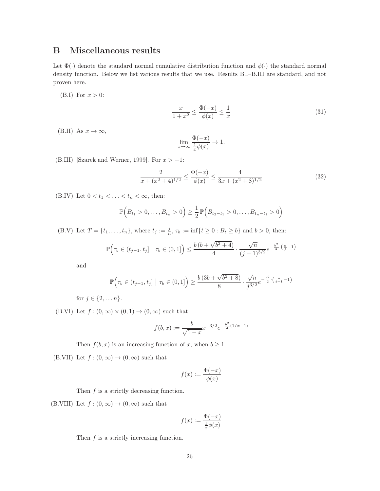## <span id="page-25-0"></span>B Miscellaneous results

Let  $\Phi(\cdot)$  denote the standard normal cumulative distribution function and  $\phi(\cdot)$  the standard normal density function. Below we list various results that we use. Results [B](#page-25-0)[.I](#page-25-6)[–B.](#page-25-0)[III](#page-25-7) are standard, and not proven here.

<span id="page-25-6"></span>[\(B.](#page-25-0)I) For  $x > 0$ :

$$
\frac{x}{1+x^2} \le \frac{\Phi(-x)}{\phi(x)} \le \frac{1}{x}
$$
\n(31)

<span id="page-25-3"></span>[\(B.](#page-25-0)II) As  $x \to \infty$ ,

$$
\lim_{x \to \infty} \frac{\Phi(-x)}{\frac{1}{x}\phi(x)} \to 1.
$$

<span id="page-25-7"></span>[\(B.](#page-25-0)III) [\[Szarek and Werner, 1999\]](#page-29-13). For  $x > -1$ :

$$
\frac{2}{x + (x^2 + 4)^{1/2}} \le \frac{\Phi(-x)}{\phi(x)} \le \frac{4}{3x + (x^2 + 8)^{1/2}}\tag{32}
$$

<span id="page-25-4"></span>[\(B.](#page-25-0)IV) Let  $0 < t_1 < \ldots < t_n < \infty$ , then:

$$
\mathbb{P}\Big(B_{t_1} > 0, \ldots, B_{t_n} > 0\Big) \ge \frac{1}{2} \mathbb{P}\Big(B_{t_2-t_1} > 0, \ldots, B_{t_n-t_1} > 0\Big)
$$

<span id="page-25-1"></span>[\(B.](#page-25-0)V) Let  $T = \{t_1, \ldots, t_n\}$ , where  $t_j := \frac{j}{n}$ ,  $\tau_b := \inf\{t \ge 0 : B_t \ge b\}$  and  $b > 0$ , then:

$$
\mathbb{P}\Big(\tau_b \in (t_{j-1}, t_j] \; \big| \; \tau_b \in (0, 1] \Big) \le \frac{b\left(b + \sqrt{b^2 + 4}\right)}{4} \cdot \frac{\sqrt{n}}{(j-1)^{3/2}} e^{-\frac{b^2}{2} \cdot \left(\frac{n}{j} - 1\right)}
$$

and

$$
\mathbb{P}\Big(\tau_b \in (t_{j-1}, t_j] \; \big| \; \tau_b \in (0, 1] \Big) \ge \frac{b\left(3b + \sqrt{b^2 + 8}\right)}{8} \cdot \frac{\sqrt{n}}{j^{3/2}} e^{-\frac{b^2}{2}\cdot \left(\frac{n}{j-1} - 1\right)}
$$

for  $j \in \{2, ..., n\}$ .

<span id="page-25-2"></span>[\(B.](#page-25-0)VI) Let  $f:(0,\infty)\times(0,1)\to(0,\infty)$  such that

$$
f(b,x) := \frac{b}{\sqrt{1-x}} x^{-3/2} e^{-\frac{b^2}{2}(1/x-1)}
$$

Then  $f(b, x)$  is an increasing function of x, when  $b \ge 1$ .

<span id="page-25-5"></span>[\(B.](#page-25-0)VII) Let  $f:(0,\infty)\to(0,\infty)$  such that

$$
f(x) := \frac{\Phi(-x)}{\phi(x)}
$$

Then  $f$  is a strictly decreasing function.

<span id="page-25-8"></span>[\(B.](#page-25-0)VIII) Let  $f:(0,\infty)\to(0,\infty)$  such that

$$
f(x):=\frac{\Phi(-x)}{\frac{1}{x}\phi(x)}
$$

Then  $f$  is a strictly increasing function.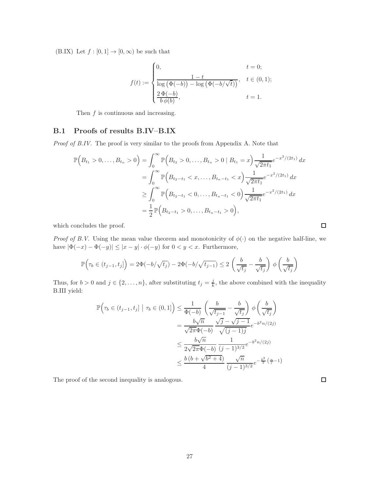<span id="page-26-0"></span>[\(B.](#page-25-0)IX) Let  $f : [0,1] \to [0,\infty)$  be such that

$$
f(t) := \begin{cases} 0, & t = 0; \\ \frac{1-t}{\log(\Phi(-b)) - \log(\Phi(-b/\sqrt{t}))}, & t \in (0,1); \\ \frac{2 \Phi(-b)}{b \phi(b)}, & t = 1. \end{cases}
$$

Then  $f$  is continuous and increasing.

#### B.1 Proofs of results [B](#page-25-0)[.IV](#page-25-4)[–B.](#page-25-0)[IX](#page-26-0)

Proof of [B](#page-25-0)[.IV.](#page-25-4) The proof is very similar to the proofs from Appendix [A.](#page-24-0) Note that

$$
\mathbb{P}\Big(B_{t_1} > 0, \ldots, B_{t_n} > 0\Big) = \int_0^\infty \mathbb{P}\Big(B_{t_2} > 0, \ldots, B_{t_n} > 0 \mid B_{t_1} = x\Big) \frac{1}{\sqrt{2\pi t_1}} e^{-x^2/(2t_1)} dx
$$
  
\n
$$
= \int_0^\infty \mathbb{P}\Big(B_{t_2 - t_1} < x, \ldots, B_{t_n - t_1} < x\Big) \frac{1}{\sqrt{2\pi t_1}} e^{-x^2/(2t_1)} dx
$$
  
\n
$$
\geq \int_0^\infty \mathbb{P}\Big(B_{t_2 - t_1} < 0, \ldots, B_{t_n - t_1} < 0\Big) \frac{1}{\sqrt{2\pi t_1}} e^{-x^2/(2t_1)} dx
$$
  
\n
$$
= \frac{1}{2} \mathbb{P}\Big(B_{t_2 - t_1} > 0, \ldots, B_{t_n - t_1} > 0\Big),
$$

which concludes the proof.

*Proof of [B](#page-25-0)[.V.](#page-25-1)* Using the mean value theorem and monotonicity of  $\phi(\cdot)$  on the negative half-line, we have  $|\Phi(-x) - \Phi(-y)| \leq |x - y| \cdot \phi(-y)$  for  $0 < y < x$ . Furthermore,

$$
\mathbb{P}\Big(\tau_b \in (t_{j-1}, t_j]\Big) = 2\Phi(-b/\sqrt{t_j}) - 2\Phi(-b/\sqrt{t_{j-1}}) \le 2\left(\frac{b}{\sqrt{t_j}} - \frac{b}{\sqrt{t_j}}\right)\phi\left(\frac{b}{\sqrt{t_j}}\right)
$$

Thus, for  $b > 0$  and  $j \in \{2, ..., n\}$ , after substituting  $t_j = \frac{j}{k}$ , the above combined with the inequality [B](#page-25-0)[.III](#page-25-7) yield:

$$
\mathbb{P}\Big(\tau_b \in (t_{j-1}, t_j] \mid \tau_b \in (0, 1]\Big) \leq \frac{1}{\Phi(-b)} \left(\frac{b}{\sqrt{t_{j-1}}} - \frac{b}{\sqrt{t_j}}\right) \phi\left(\frac{b}{\sqrt{t_j}}\right)
$$

$$
= \frac{b\sqrt{n}}{\sqrt{2\pi}\Phi(-b)} \frac{\sqrt{j} - \sqrt{j-1}}{\sqrt{(j-1)j}} e^{-b^2 n/(2j)}
$$

$$
\leq \frac{b\sqrt{n}}{2\sqrt{2\pi}\Phi(-b)} \frac{1}{(j-1)^{3/2}} e^{-b^2 n/(2j)}
$$

$$
\leq \frac{b\left(b + \sqrt{b^2 + 4}\right)}{4} \frac{\sqrt{n}}{(j-1)^{3/2}} e^{-\frac{b^2}{2}\left(\frac{n}{j} - 1\right)}
$$

The proof of the second inequality is analogous.

 $\Box$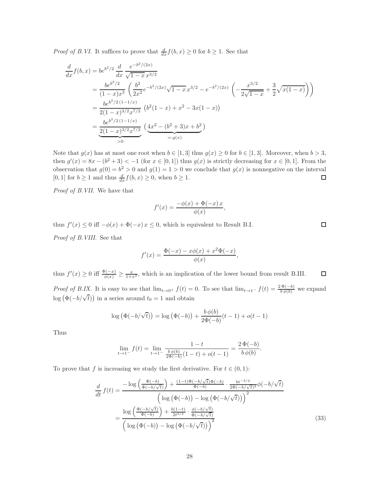*Proof of [B](#page-25-0)[.VI.](#page-25-2)* It suffices to prove that  $\frac{d}{dx} f(b, x) \ge 0$  for  $b \ge 1$ . See that

$$
\frac{d}{dx}f(b,x) = be^{b^2/2} \frac{d}{dx} \frac{e^{-b^2/(2x)}}{\sqrt{1-x}x^{3/2}}
$$
\n
$$
= \frac{be^{b^2/2}}{(1-x)x^3} \left( \frac{b^2}{2x^2} e^{-b^2/(2x)} \sqrt{1-x} x^{3/2} - e^{-b^2/(2x)} \left( -\frac{x^{3/2}}{2\sqrt{1-x}} + \frac{3}{2} \sqrt{x(1-x)} \right) \right)
$$
\n
$$
= \frac{be^{b^2/2} (1-1/x)}{2(1-x)^{3/2} x^{7/2}} \left( b^2 (1-x) + x^2 - 3x(1-x) \right)
$$
\n
$$
= \frac{be^{b^2/2} (1-1/x)}{2(1-x)^{3/2} x^{7/2}} \left( \underbrace{4x^2 - (b^2+3)x + b^2}_{=:g(x)} \right)
$$

Note that  $g(x)$  has at most one root when  $b \in [1,3]$  thus  $g(x) \ge 0$  for  $b \in [1,3]$ . Moreover, when  $b > 3$ , then  $g'(x) = 8x - (b^2 + 3) < -1$  (for  $x \in [0, 1]$ ) thus  $g(x)$  is strictly decreasing for  $x \in [0, 1]$ . From the observation that  $g(0) = b^2 > 0$  and  $g(1) = 1 > 0$  we conclude that  $g(x)$  is nonnegative on the interval [0, 1] for  $b \ge 1$  and thus  $\frac{d}{dx} f(b, x) \ge 0$ , when  $b \ge 1$ .  $\Box$ 

Proof of [B](#page-25-0)[.VII.](#page-25-5) We have that

$$
f'(x) = \frac{-\phi(x) + \Phi(-x)x}{\phi(x)},
$$

thus  $f'(x) \leq 0$  iff  $-\phi(x) + \Phi(-x) x \leq 0$ , which is equivalent to Result [B.](#page-25-0)[I.](#page-25-6)

Proof of [B](#page-25-0)[.VIII.](#page-25-8) See that

$$
f'(x) = \frac{\Phi(-x) - x\phi(x) + x^2\Phi(-x)}{\phi(x)},
$$

thus  $f'(x) \geq 0$  iff  $\frac{\Phi(-x)}{\phi(x)} \geq \frac{x}{1+x^2}$ , which is an implication of the lower bound from result [B](#page-25-0)[.III.](#page-25-7)  $\Box$ *Proof of [B](#page-25-0)[.IX.](#page-26-0)* It is easy to see that  $\lim_{t\to 0^+} f(t) = 0$ . To see that  $\lim_{t\to 1^-} f(t) = \frac{2\Phi(-b)}{b\phi(b)}$  we expand log  $(\Phi(-b/\sqrt{t}))$  in a series around  $t_0 = 1$  and obtain

$$
\log (\Phi(-b/\sqrt{t})) = \log (\Phi(-b)) + \frac{b \phi(b)}{2\Phi(-b)}(t-1) + o(t-1)
$$

Thus

$$
\lim_{t \to 1^{-}} f(t) = \lim_{t \to 1^{-}} \frac{1 - t}{\frac{b \phi(b)}{2\Phi(-b)}(1 - t) + o(t - 1)} = \frac{2 \Phi(-b)}{b \phi(b)}
$$

To prove that f is increasing we study the first derivative. For  $t \in (0,1)$ :

$$
\frac{d}{dt} f(t) = \frac{-\log\left(\frac{\Phi(-b)}{\Phi(-b/\sqrt{t})}\right) + \frac{(1-t)\Phi(-b/\sqrt{t})\Phi(-b)}{\Phi(-b)} \cdot \frac{bt^{-3/2}}{2\Phi(-b/\sqrt{t})^2}\phi(-b/\sqrt{t})}{\left(\log\left(\Phi(-b)\right) - \log\left(\Phi(-b/\sqrt{t})\right)\right)^2}
$$
\n
$$
= \frac{\log\left(\frac{\Phi(-b/\sqrt{t})}{\Phi(-b)}\right) + \frac{b(1-t)}{2t^{3/2}} \cdot \frac{\phi(-b/\sqrt{t})}{\Phi(-b/\sqrt{t})}}{\left(\log\left(\Phi(-b)\right) - \log\left(\Phi(-b/\sqrt{t})\right)\right)^2}
$$
\n(33)

<span id="page-27-0"></span>.

 $\Box$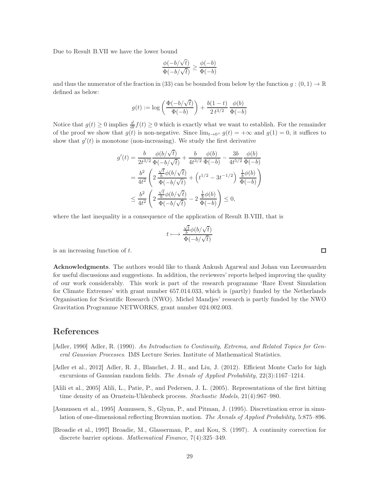Due to Result [B.](#page-25-0)[VII](#page-25-5) we have the lower bound

$$
\frac{\phi(-b/\sqrt{t})}{\Phi(-b/\sqrt{t})} \ge \frac{\phi(-b)}{\Phi(-b)}
$$

and thus the numerator of the fraction in [\(33\)](#page-27-0) can be bounded from below by the function  $g:(0,1) \to \mathbb{R}$ defined as below:

$$
g(t):=\log\left(\frac{\Phi(-b/\sqrt{t})}{\Phi(-b)}\right)+\frac{b(1-t)}{2\,t^{3/2}}\,\frac{\phi(b)}{\Phi(-b)}
$$

Notice that  $g(t) \geq 0$  implies  $\frac{d}{dt} f(t) \geq 0$  which is exactly what we want to establish. For the remainder of the proof we show that  $g(t)$  is non-negative. Since  $\lim_{t\to 0^+} g(t) = +\infty$  and  $g(1) = 0$ , it suffices to show that  $g'(t)$  is monotone (non-increasing). We study the first derivative

$$
g'(t) = \frac{b}{2t^{3/2}} \frac{\phi(b/\sqrt{t})}{\Phi(-b/\sqrt{t})} + \frac{b}{4t^{3/2}} \frac{\phi(b)}{\Phi(-b)} - \frac{3b}{4t^{5/2}} \frac{\phi(b)}{\Phi(-b)}
$$
  
= 
$$
\frac{b^2}{4t^2} \left( 2 \frac{\frac{\sqrt{t}}{b} \phi(b/\sqrt{t})}{\Phi(-b/\sqrt{t})} + \left( t^{1/2} - 3t^{-1/2} \right) \frac{\frac{1}{b} \phi(b)}{\Phi(-b)} \right)
$$
  

$$
\leq \frac{b^2}{4t^2} \left( 2 \frac{\frac{\sqrt{t}}{b} \phi(b/\sqrt{t})}{\Phi(-b/\sqrt{t})} - 2 \frac{\frac{1}{b} \phi(b)}{\Phi(-b)} \right) \leq 0,
$$

where the last inequality is a consequence of the application of Result [B](#page-25-0)[.VIII,](#page-25-8) that is

$$
t\longmapsto\frac{\frac{\sqrt{t}}{b}\phi(b/\sqrt{t})}{\Phi(-b/\sqrt{t})}
$$

is an increasing function of t.

Acknowledgments. The authors would like to thank Ankush Agarwal and Johan van Leeuwaarden for useful discussions and suggestions. In addition, the reviewers' reports helped improving the quality of our work considerably. This work is part of the research programme 'Rare Event Simulation for Climate Extremes' with grant number 657.014.033, which is (partly) funded by the Netherlands Organisation for Scientific Research (NWO). Michel Mandjes' research is partly funded by the NWO Gravitation Programme NETWORKS, grant number 024.002.003.

#### References

- <span id="page-28-0"></span>[Adler, 1990] Adler, R. (1990). An Introduction to Continuity, Extrema, and Related Topics for General Gaussian Processes. IMS Lecture Series. Institute of Mathematical Statistics.
- <span id="page-28-1"></span>[Adler et al., 2012] Adler, R. J., Blanchet, J. H., and Liu, J. (2012). Efficient Monte Carlo for high excursions of Gaussian random fields. The Annals of Applied Probability, 22(3):1167–1214.
- <span id="page-28-4"></span>[Alili et al., 2005] Alili, L., Patie, P., and Pedersen, J. L. (2005). Representations of the first hitting time density of an Ornstein-Uhlenbeck process. Stochastic Models, 21(4):967–980.
- <span id="page-28-2"></span>[Asmussen et al., 1995] Asmussen, S., Glynn, P., and Pitman, J. (1995). Discretization error in simulation of one-dimensional reflecting Brownian motion. The Annals of Applied Probability, 5:875–896.
- <span id="page-28-3"></span>[Broadie et al., 1997] Broadie, M., Glasserman, P., and Kou, S. (1997). A continuity correction for discrete barrier options. Mathematical Finance, 7(4):325–349.